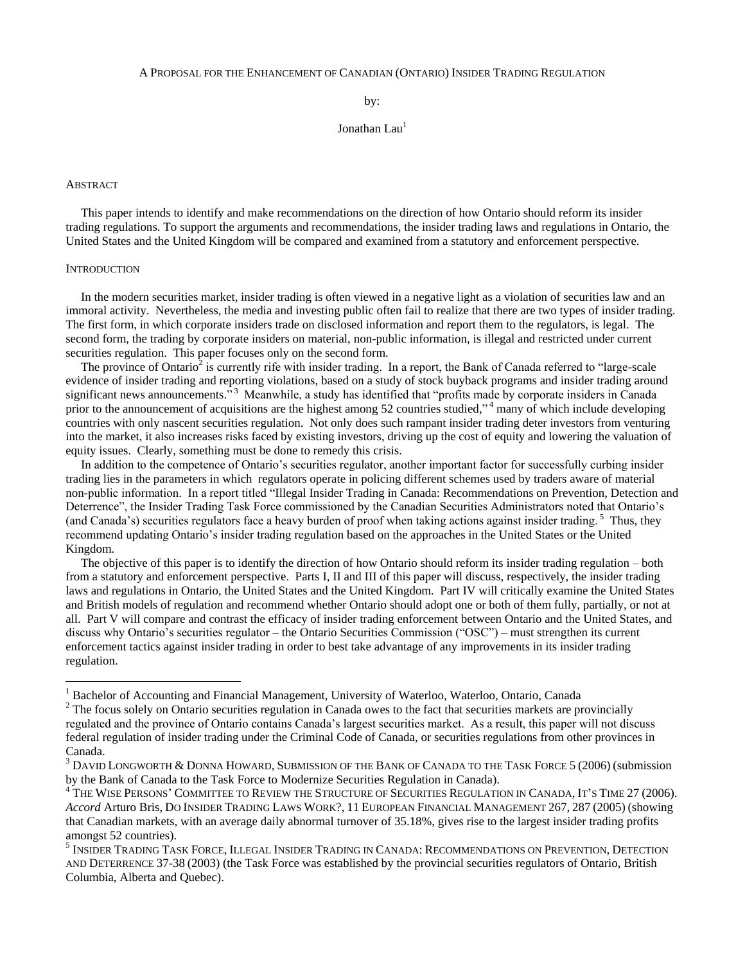#### A PROPOSAL FOR THE ENHANCEMENT OF CANADIAN (ONTARIO) INSIDER TRADING REGULATION

by:

Jonathan Lau<sup>1</sup>

### ABSTRACT

 This paper intends to identify and make recommendations on the direction of how Ontario should reform its insider trading regulations. To support the arguments and recommendations, the insider trading laws and regulations in Ontario, the United States and the United Kingdom will be compared and examined from a statutory and enforcement perspective.

#### **INTRODUCTION**

 $\overline{a}$ 

 In the modern securities market, insider trading is often viewed in a negative light as a violation of securities law and an immoral activity. Nevertheless, the media and investing public often fail to realize that there are two types of insider trading. The first form, in which corporate insiders trade on disclosed information and report them to the regulators, is legal. The second form, the trading by corporate insiders on material, non-public information, is illegal and restricted under current securities regulation. This paper focuses only on the second form.

The province of Ontario<sup>2</sup> is currently rife with insider trading. In a report, the Bank of Canada referred to "large-scale" evidence of insider trading and reporting violations, based on a study of stock buyback programs and insider trading around significant news announcements."<sup>3</sup> Meanwhile, a study has identified that "profits made by corporate insiders in Canada prior to the announcement of acquisitions are the highest among 52 countries studied,"<sup>4</sup> many of which include developing countries with only nascent securities regulation. Not only does such rampant insider trading deter investors from venturing into the market, it also increases risks faced by existing investors, driving up the cost of equity and lowering the valuation of equity issues. Clearly, something must be done to remedy this crisis.

 In addition to the competence of Ontario's securities regulator, another important factor for successfully curbing insider trading lies in the parameters in which regulators operate in policing different schemes used by traders aware of material non-public information. In a report titled "Illegal Insider Trading in Canada: Recommendations on Prevention, Detection and Deterrence", the Insider Trading Task Force commissioned by the Canadian Securities Administrators noted that Ontario's (and Canada's) securities regulators face a heavy burden of proof when taking actions against insider trading.<sup>5</sup> Thus, they recommend updating Ontario's insider trading regulation based on the approaches in the United States or the United Kingdom.

 The objective of this paper is to identify the direction of how Ontario should reform its insider trading regulation – both from a statutory and enforcement perspective. Parts I, II and III of this paper will discuss, respectively, the insider trading laws and regulations in Ontario, the United States and the United Kingdom. Part IV will critically examine the United States and British models of regulation and recommend whether Ontario should adopt one or both of them fully, partially, or not at all. Part V will compare and contrast the efficacy of insider trading enforcement between Ontario and the United States, and discuss why Ontario's securities regulator – the Ontario Securities Commission (" $\rm{OSC}$ ") – must strengthen its current enforcement tactics against insider trading in order to best take advantage of any improvements in its insider trading regulation.

<sup>&</sup>lt;sup>1</sup> Bachelor of Accounting and Financial Management, University of Waterloo, Waterloo, Ontario, Canada

<sup>&</sup>lt;sup>2</sup> The focus solely on Ontario securities regulation in Canada owes to the fact that securities markets are provincially regulated and the province of Ontario contains Canada's largest securities market. As a result, this paper will not discuss federal regulation of insider trading under the Criminal Code of Canada, or securities regulations from other provinces in Canada.

DAVID LONGWORTH & DONNA HOWARD, SUBMISSION OF THE BANK OF CANADA TO THE TASK FORCE 5 (2006) (submission by the Bank of Canada to the Task Force to Modernize Securities Regulation in Canada).

<sup>&</sup>lt;sup>4</sup> THE WISE PERSONS' COMMITTEE TO REVIEW THE STRUCTURE OF SECURITIES REGULATION IN CANADA, IT'S TIME 27 (2006). *Accord* Arturo Bris, DO INSIDER TRADING LAWS WORK?, 11 EUROPEAN FINANCIAL MANAGEMENT 267, 287 (2005) (showing that Canadian markets, with an average daily abnormal turnover of 35.18%, gives rise to the largest insider trading profits amongst 52 countries).

<sup>5</sup> INSIDER TRADING TASK FORCE, ILLEGAL INSIDER TRADING IN CANADA: RECOMMENDATIONS ON PREVENTION, DETECTION AND DETERRENCE 37-38 (2003) (the Task Force was established by the provincial securities regulators of Ontario, British Columbia, Alberta and Quebec).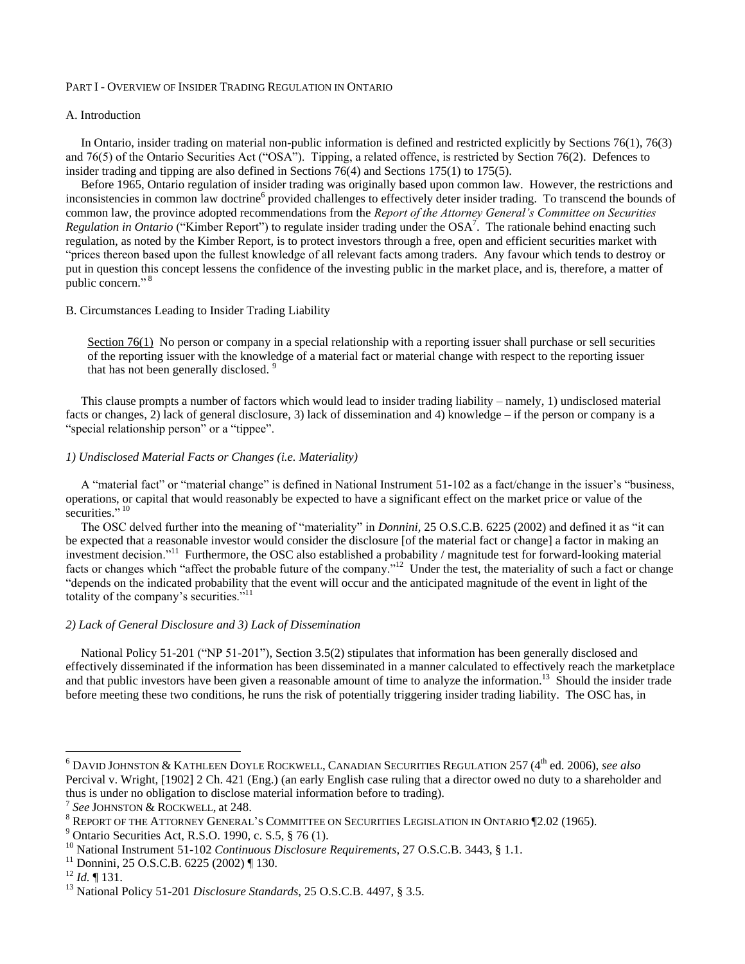# PART I - OVERVIEW OF INSIDER TRADING REGULATION IN ONTARIO

### A. Introduction

 In Ontario, insider trading on material non-public information is defined and restricted explicitly by Sections 76(1), 76(3) and  $76(5)$  of the Ontario Securities Act ("OSA"). Tipping, a related offence, is restricted by Section 76(2). Defences to insider trading and tipping are also defined in Sections 76(4) and Sections 175(1) to 175(5).

 Before 1965, Ontario regulation of insider trading was originally based upon common law. However, the restrictions and inconsistencies in common law doctrine<sup>6</sup> provided challenges to effectively deter insider trading. To transcend the bounds of common law, the province adopted recommendations from the *Report of the Attorney General's Committee on Securities*   $Regularian$  *Regulation in Ontario* ("Kimber Report") to regulate insider trading under the OSA<sup>7</sup>. The rationale behind enacting such regulation, as noted by the Kimber Report, is to protect investors through a free, open and efficient securities market with "prices thereon based upon the fullest knowledge of all relevant facts among traders. Any favour which tends to destroy or put in question this concept lessens the confidence of the investing public in the market place, and is, therefore, a matter of public concern."<sup>8</sup>

### B. Circumstances Leading to Insider Trading Liability

Section  $76(1)$  $76(1)$  No person or company in a special relationship with a reporting issuer shall purchase or sell securities of the reporting issuer with the knowledge of a material fact or material change with respect to the reporting issuer that has not been generally disclosed. <sup>9</sup>

 This clause prompts a number of factors which would lead to insider trading liability – namely, 1) undisclosed material facts or changes, 2) lack of general disclosure, 3) lack of dissemination and 4) knowledge – if the person or company is a "special relationship person" or a "tippee".

# *1) Undisclosed Material Facts or Changes (i.e. Materiality)*

A "material fact" or "material change" is defined in National Instrument 51-102 as a fact/change in the issuer's "business, operations, or capital that would reasonably be expected to have a significant effect on the market price or value of the securities."<sup>10</sup>

The OSC delved further into the meaning of "materiality" in *Donnini*, 25 O.S.C.B. 6225 (2002) and defined it as "it can be expected that a reasonable investor would consider the disclosure [of the material fact or change] a factor in making an investment decision."<sup>11</sup> Furthermore, the OSC also established a probability / magnitude test for forward-looking material facts or changes which "affect the probable future of the company."<sup>12</sup> Under the test, the materiality of such a fact or change "depends on the indicated probability that the event will occur and the anticipated magnitude of the event in light of the totality of the company's securities."<sup>11</sup>

# *2) Lack of General Disclosure and 3) Lack of Dissemination*

National Policy 51-201 ("NP 51-201"), Section 3.5(2) stipulates that information has been generally disclosed and effectively disseminated if the information has been disseminated in a manner calculated to effectively reach the marketplace and that public investors have been given a reasonable amount of time to analyze the information.<sup>13</sup> Should the insider trade before meeting these two conditions, he runs the risk of potentially triggering insider trading liability. The OSC has, in

<sup>6</sup> DAVID JOHNSTON & KATHLEEN DOYLE ROCKWELL, CANADIAN SECURITIES REGULATION 257 (4th ed. 2006), *see also*  Percival v. Wright, [1902] 2 Ch. 421 (Eng.) (an early English case ruling that a director owed no duty to a shareholder and thus is under no obligation to disclose material information before to trading).

<sup>7</sup> *See* JOHNSTON & ROCKWELL, at 248.

<sup>8</sup> REPORT OF THE ATTORNEY GENERAL'S COMMITTEE ON SECURITIES LEGISLATION IN ONTARIO ¶2.02 (1965).

<sup>&</sup>lt;sup>9</sup> Ontario Securities Act, R.S.O. 1990, c. S.5,  $\S$  76 (1).

<sup>10</sup> National Instrument 51-102 *Continuous Disclosure Requirements*, 27 O.S.C.B. 3443, § 1.1.

 $11$  Donnini, 25 O.S.C.B. 6225 (2002) ¶ 130.

<sup>12</sup> *Id.* ¶ 131.

<sup>13</sup> National Policy 51-201 *Disclosure Standards*, 25 O.S.C.B. 4497, § 3.5.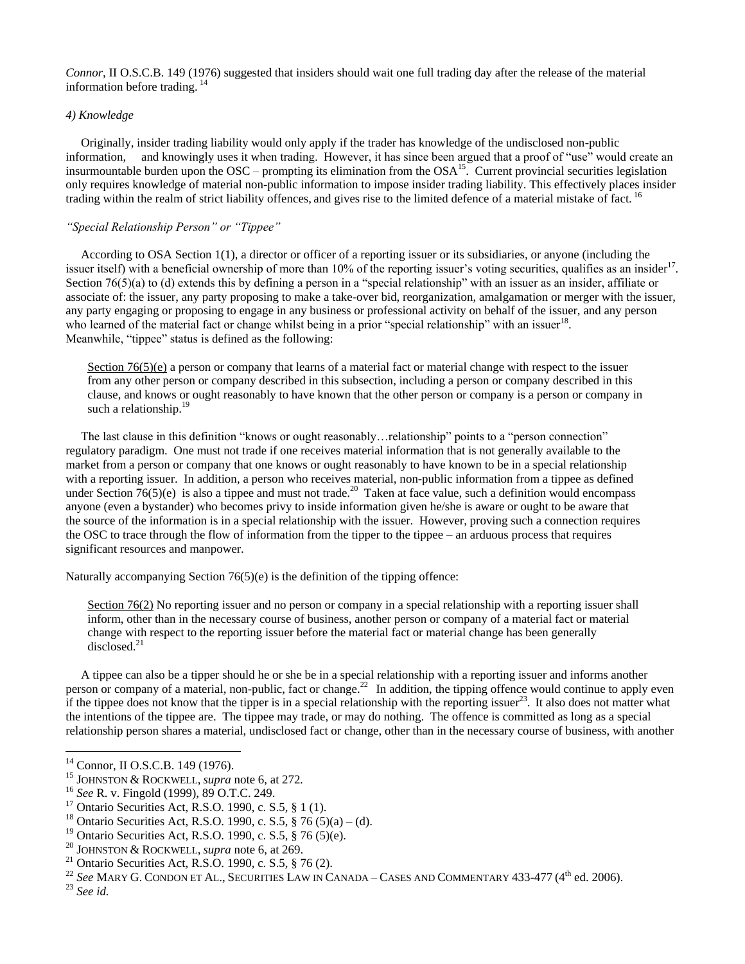*Connor*, II O.S.C.B. 149 (1976) suggested that insiders should wait one full trading day after the release of the material information before trading. <sup>14</sup>

# *4) Knowledge*

 Originally, insider trading liability would only apply if the trader has knowledge of the undisclosed non-public information, and knowingly uses it when trading. However, it has since been argued that a proof of "use" would create an insurmountable burden upon the OSC – prompting its elimination from the OSA<sup>15</sup>. Current provincial securities legislation only requires knowledge of material non-public information to impose insider trading liability. This effectively places insider trading within the realm of strict liability offences, and gives rise to the limited defence of a material mistake of fact. <sup>16</sup>

# *"Special Relationship Person" or "Tippee"*

 According to OSA Section 1(1), a director or officer of a reporting issuer or its subsidiaries, or anyone (including the issuer itself) with a beneficial ownership of more than 10% of the reporting issuer's voting securities, qualifies as an insider<sup>17</sup>. Section  $76(5)(a)$  to (d) extends this by defining a person in a "special relationship" with an issuer as an insider, affiliate or associate of: the issuer, any party proposing to make a take-over bid, reorganization, amalgamation or merger with the issuer, any party engaging or proposing to engage in any business or professional activity on behalf of the issuer, and any person who learned of the material fact or change whilst being in a prior "special relationship" with an issuer<sup>18</sup>. Meanwhile, "tippee" status is defined as the following:

Section  $76(5)(e)$  a person or company that learns of a material fact or material change with respect to the issuer from any other person or company described in this subsection, including a person or company described in this clause, and knows or ought reasonably to have known that the other person or company is a person or company in such a relationship.<sup>19</sup>

The last clause in this definition "knows or ought reasonably...relationship" points to a "person connection" regulatory paradigm. One must not trade if one receives material information that is not generally available to the market from a person or company that one knows or ought reasonably to have known to be in a special relationship with a reporting issuer. In addition, a person who receives material, non-public information from a tippee as defined under Section  $76(5)(e)$  is also a tippee and must not trade.<sup>20</sup> Taken at face value, such a definition would encompass anyone (even a bystander) who becomes privy to inside information given he/she is aware or ought to be aware that the source of the information is in a special relationship with the issuer. However, proving such a connection requires the OSC to trace through the flow of information from the tipper to the tippee – an arduous process that requires significant resources and manpower.

Naturally accompanying Section 76(5)(e) is the definition of the tipping offence:

Section 76(2) No reporting issuer and no person or company in a special relationship with a reporting issuer shall inform, other than in the necessary course of business, another person or company of a material fact or material change with respect to the reporting issuer before the material fact or material change has been generally disclosed.<sup>21</sup>

 A tippee can also be a tipper should he or she be in a special relationship with a reporting issuer and informs another person or company of a material, non-public, fact or change.<sup>22</sup> In addition, the tipping offence would continue to apply even if the tippee does not know that the tipper is in a special relationship with the reporting issuer<sup>23</sup>. It also does not matter what the intentions of the tippee are. The tippee may trade, or may do nothing. The offence is committed as long as a special relationship person shares a material, undisclosed fact or change, other than in the necessary course of business, with another

<sup>&</sup>lt;sup>14</sup> Connor, II O.S.C.B. 149 (1976).

<sup>15</sup> JOHNSTON & ROCKWELL, *supra* note 6, at 272*.*

<sup>16</sup> *See* R. v. Fingold (1999), 89 O.T.C. 249.

<sup>&</sup>lt;sup>17</sup> Ontario Securities Act, R.S.O. 1990, c. S.5, § 1 (1).

<sup>&</sup>lt;sup>18</sup> Ontario Securities Act, R.S.O. 1990, c. S.5, § 76 (5)(a) – (d).

<sup>&</sup>lt;sup>19</sup> Ontario Securities Act, R.S.O. 1990, c. S.5, § 76 (5)(e).

<sup>20</sup> JOHNSTON & ROCKWELL, *supra* note 6, at 269.

<sup>&</sup>lt;sup>21</sup> Ontario Securities Act, R.S.O. 1990, c. S.5,  $\S$  76 (2).

<sup>&</sup>lt;sup>22</sup> See MARY G. CONDON ET AL., SECURITIES LAW IN CANADA – CASES AND COMMENTARY 433-477 (4<sup>th</sup> ed. 2006).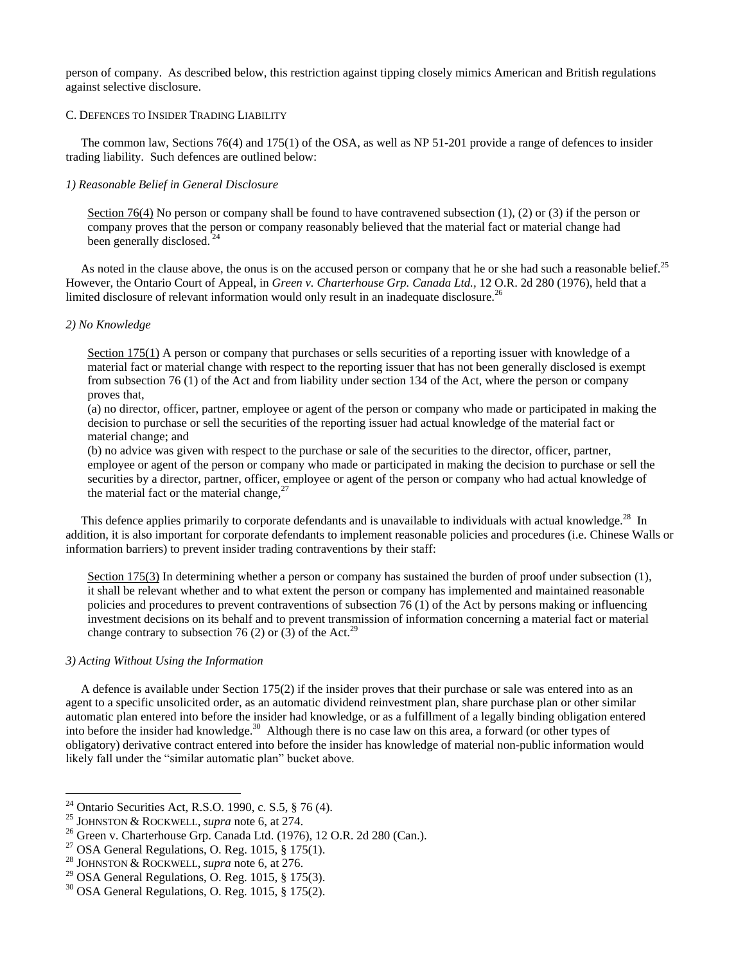person of company. As described below, this restriction against tipping closely mimics American and British regulations against selective disclosure.

# C. DEFENCES TO INSIDER TRADING LIABILITY

 The common law, Sections 76(4) and 175(1) of the OSA, as well as NP 51-201 provide a range of defences to insider trading liability. Such defences are outlined below:

### *1) Reasonable Belief in General Disclosure*

Section 76(4) No person or company shall be found to have contravened subsection (1), (2) or (3) if the person or company proves that the person or company reasonably believed that the material fact or material change had been generally disclosed.<sup>2</sup>

As noted in the clause above, the onus is on the accused person or company that he or she had such a reasonable belief.<sup>25</sup> However, the Ontario Court of Appeal, in *Green v. Charterhouse Grp. Canada Ltd.,* 12 O.R. 2d 280 (1976), held that a limited disclosure of relevant information would only result in an inadequate disclosure.<sup>26</sup>

# *2) No Knowledge*

Section 175(1) A person or company that purchases or sells securities of a reporting issuer with knowledge of a material fact or material change with respect to the reporting issuer that has not been generally disclosed is exempt from subsection 76 (1) of the Act and from liability under section 134 of the Act, where the person or company proves that,

(a) no director, officer, partner, employee or agent of the person or company who made or participated in making the decision to purchase or sell the securities of the reporting issuer had actual knowledge of the material fact or material change; and

(b) no advice was given with respect to the purchase or sale of the securities to the director, officer, partner, employee or agent of the person or company who made or participated in making the decision to purchase or sell the securities by a director, partner, officer, employee or agent of the person or company who had actual knowledge of the material fact or the material change,  $27$ 

This defence applies primarily to corporate defendants and is unavailable to individuals with actual knowledge.<sup>28</sup> In addition, it is also important for corporate defendants to implement reasonable policies and procedures (i.e. Chinese Walls or information barriers) to prevent insider trading contraventions by their staff:

Section 175(3) In determining whether a person or company has sustained the burden of proof under subsection (1), it shall be relevant whether and to what extent the person or company has implemented and maintained reasonable policies and procedures to prevent contraventions of subsection 76 (1) of the Act by persons making or influencing investment decisions on its behalf and to prevent transmission of information concerning a material fact or material change contrary to subsection 76 (2) or (3) of the Act.<sup>29</sup>

### *3) Acting Without Using the Information*

 $\overline{a}$ 

 A defence is available under Section 175(2) if the insider proves that their purchase or sale was entered into as an agent to a specific unsolicited order, as an automatic dividend reinvestment plan, share purchase plan or other similar automatic plan entered into before the insider had knowledge, or as a fulfillment of a legally binding obligation entered into before the insider had knowledge.<sup>30</sup> Although there is no case law on this area, a forward (or other types of obligatory) derivative contract entered into before the insider has knowledge of material non-public information would likely fall under the "similar automatic plan" bucket above.

<sup>24</sup> Ontario Securities Act, R.S.O. 1990, c. S.5, § 76 (4).

<sup>25</sup> JOHNSTON & ROCKWELL, *supra* note 6, at 274.

<sup>26</sup> Green v. Charterhouse Grp. Canada Ltd. (1976)*,* 12 O.R. 2d 280 (Can.).

<sup>&</sup>lt;sup>27</sup> OSA General Regulations, O. Reg. 1015, § 175(1).

<sup>28</sup> JOHNSTON & ROCKWELL, *supra* note 6, at 276.

<sup>&</sup>lt;sup>29</sup> OSA General Regulations, O. Reg. 1015, § 175(3).

<sup>30</sup> OSA General Regulations, O. Reg. 1015, § 175(2).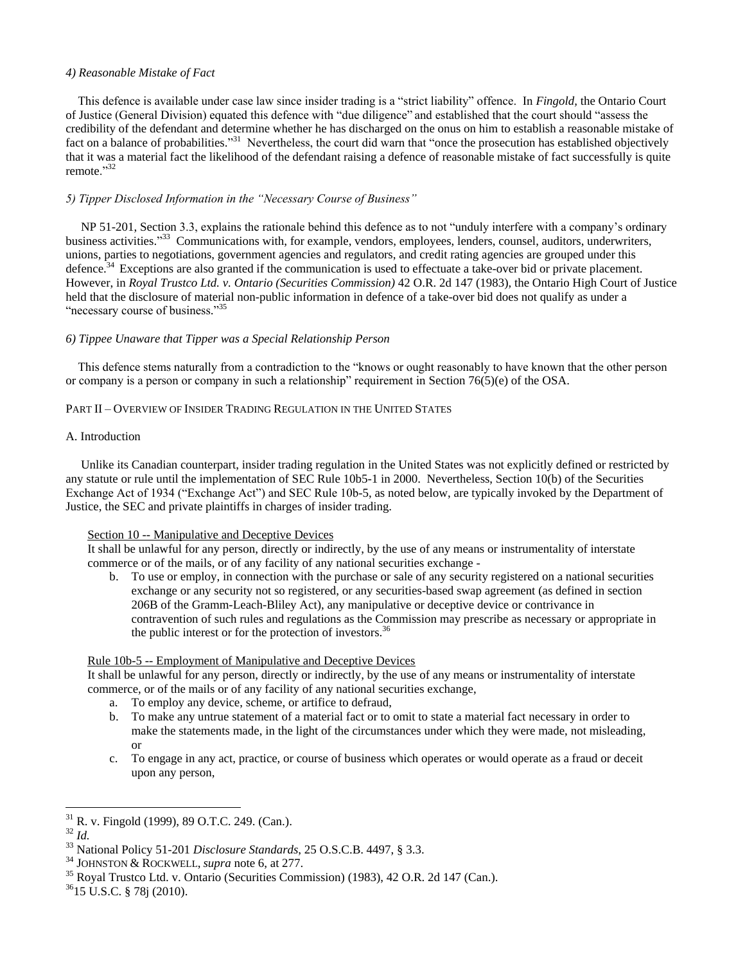# *4) Reasonable Mistake of Fact*

This defence is available under case law since insider trading is a "strict liability" offence. In *Fingold*, the Ontario Court of Justice (General Division) equated this defence with "due diligence" and established that the court should "assess the credibility of the defendant and determine whether he has discharged on the onus on him to establish a reasonable mistake of fact on a balance of probabilities."<sup>31</sup> Nevertheless, the court did warn that "once the prosecution has established objectively that it was a material fact the likelihood of the defendant raising a defence of reasonable mistake of fact successfully is quite remote."32

# *5) Tipper Disclosed Information in the "Necessary Course of Business"*

NP 51-201, Section 3.3, explains the rationale behind this defence as to not "unduly interfere with a company's ordinary business activities.<sup>33</sup> Communications with, for example, vendors, employees, lenders, counsel, auditors, underwriters, unions, parties to negotiations, government agencies and regulators, and credit rating agencies are grouped under this defence.<sup>34</sup> Exceptions are also granted if the communication is used to effectuate a take-over bid or private placement. However, in *Royal Trustco Ltd. v. Ontario (Securities Commission)* 42 O.R. 2d 147 (1983)*,* the Ontario High Court of Justice held that the disclosure of material non-public information in defence of a take-over bid does not qualify as under a "necessary course of business."<sup>35</sup>

# *6) Tippee Unaware that Tipper was a Special Relationship Person*

This defence stems naturally from a contradiction to the "knows or ought reasonably to have known that the other person or company is a person or company in such a relationship" requirement in Section 76(5)(e) of the OSA.

# PART II – OVERVIEW OF INSIDER TRADING REGULATION IN THE UNITED STATES

# A. Introduction

 Unlike its Canadian counterpart, insider trading regulation in the United States was not explicitly defined or restricted by any statute or rule until the implementation of SEC Rule 10b5-1 in 2000. Nevertheless, Section 10(b) of the Securities Exchange Act of 1934 ("Exchange Act") and SEC Rule 10b-5, as noted below, are typically invoked by the Department of Justice, the SEC and private plaintiffs in charges of insider trading.

# Section 10 -- Manipulative and Deceptive Devices

It shall be unlawful for any person, directly or indirectly, by the use of any means or instrumentality of interstate commerce or of the mails, or of any facility of any national securities exchange -

b. To use or employ, in connection with the purchase or sale of any security registered on a national securities exchange or any security not so registered, or any securities-based swap agreement (as defined in section 206B of the Gramm-Leach-Bliley Act), any manipulative or deceptive device or contrivance in contravention of such rules and regulations as the Commission may prescribe as necessary or appropriate in the public interest or for the protection of investors.<sup>36</sup>

# Rule 10b-5 -- Employment of Manipulative and Deceptive Devices

It shall be unlawful for any person, directly or indirectly, by the use of any means or instrumentality of interstate commerce, or of the mails or of any facility of any national securities exchange,

- a. To employ any device, scheme, or artifice to defraud,
- b. To make any untrue statement of a material fact or to omit to state a material fact necessary in order to make the statements made, in the light of the circumstances under which they were made, not misleading, or
- c. To engage in any act, practice, or course of business which operates or would operate as a fraud or deceit upon any person,

<sup>31</sup> <sup>31</sup> R. v. Fingold (1999), 89 O.T.C. 249. (Can.).

<sup>32</sup> *Id.*

<sup>33</sup> National Policy 51-201 *Disclosure Standards*, 25 O.S.C.B. 4497, § 3.3.

<sup>34</sup> JOHNSTON & ROCKWELL, *supra* note 6, at 277.

<sup>35</sup> Royal Trustco Ltd. v. Ontario (Securities Commission) (1983), 42 O.R. 2d 147 (Can.).

<sup>36</sup>15 U.S.C. § 78j (2010).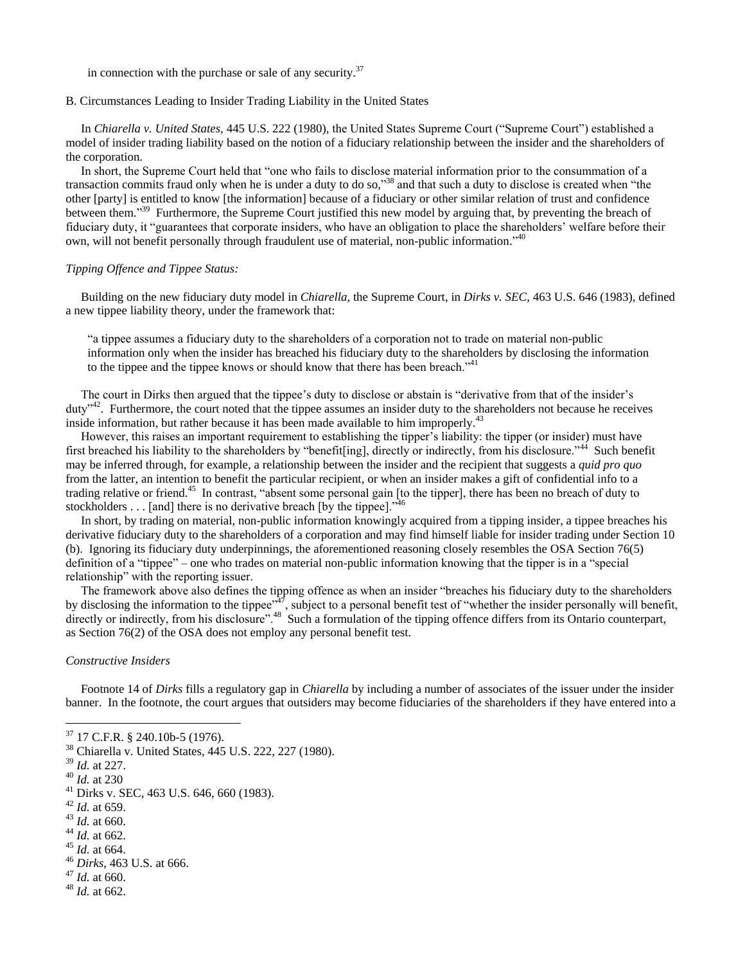in connection with the purchase or sale of any security. $37$ 

# B. Circumstances Leading to Insider Trading Liability in the United States

In *Chiarella v. United States, 445 U.S. 222 (1980)*, the United States Supreme Court ("Supreme Court") established a model of insider trading liability based on the notion of a fiduciary relationship between the insider and the shareholders of the corporation.

In short, the Supreme Court held that "one who fails to disclose material information prior to the consummation of a transaction commits fraud only when he is under a duty to do so,"<sup>38</sup> and that such a duty to disclose is created when "the other [party] is entitled to know [the information] because of a fiduciary or other similar relation of trust and confidence between them."<sup>39</sup> Furthermore, the Supreme Court justified this new model by arguing that, by preventing the breach of fiduciary duty, it "guarantees that corporate insiders, who have an obligation to place the shareholders' welfare before their own, will not benefit personally through fraudulent use of material, non-public information."<sup>40</sup>

### *Tipping Offence and Tippee Status:*

 Building on the new fiduciary duty model in *Chiarella,* the Supreme Court, in *Dirks v. SEC*, 463 U.S. 646 (1983), defined a new tippee liability theory, under the framework that:

―a tippee assumes a fiduciary duty to the shareholders of a corporation not to trade on material non-public information only when the insider has breached his fiduciary duty to the shareholders by disclosing the information to the tippee and the tippee knows or should know that there has been breach.<sup> $341$ </sup>

The court in Dirks then argued that the tippee's duty to disclose or abstain is "derivative from that of the insider's  $duty<sup>42</sup>$ . Furthermore, the court noted that the tippee assumes an insider duty to the shareholders not because he receives inside information, but rather because it has been made available to him improperly.<sup>43</sup>

 However, this raises an important requirement to establishing the tipper's liability: the tipper (or insider) must have first breached his liability to the shareholders by "benefit[ing], directly or indirectly, from his disclosure."<sup>44</sup> Such benefit may be inferred through, for example, a relationship between the insider and the recipient that suggests a *quid pro quo* from the latter, an intention to benefit the particular recipient, or when an insider makes a gift of confidential info to a trading relative or friend.<sup>45</sup> In contrast, "absent some personal gain [to the tipper], there has been no breach of duty to stockholders  $\dots$  [and] there is no derivative breach [by the tippee].<sup>346</sup>

 In short, by trading on material, non-public information knowingly acquired from a tipping insider, a tippee breaches his derivative fiduciary duty to the shareholders of a corporation and may find himself liable for insider trading under Section 10 (b). Ignoring its fiduciary duty underpinnings, the aforementioned reasoning closely resembles the OSA Section 76(5) definition of a "tippee" – one who trades on material non-public information knowing that the tipper is in a "special" relationship" with the reporting issuer.

The framework above also defines the tipping offence as when an insider "breaches his fiduciary duty to the shareholders" by disclosing the information to the tippee<sup> $\frac{3}{47}$ </sup>, subject to a personal benefit test of "whether the insider personally will benefit, directly or indirectly, from his disclosure".<sup>48</sup> Such a formulation of the tipping offence differs from its Ontario counterpart, as Section 76(2) of the OSA does not employ any personal benefit test.

### *Constructive Insiders*

 Footnote 14 of *Dirks* fills a regulatory gap in *Chiarella* by including a number of associates of the issuer under the insider banner. In the footnote, the court argues that outsiders may become fiduciaries of the shareholders if they have entered into a

- <sup>45</sup> *Id.* at 664.
- <sup>46</sup> *Dirks*, 463 U.S. at 666.
- <sup>47</sup> *Id.* at 660.
- <sup>48</sup> *Id.* at 662.

<sup>37</sup> 17 C.F.R. § 240.10b-5 (1976).

<sup>38</sup> Chiarella v. United States, 445 U.S. 222, 227 (1980).

<sup>39</sup> *Id.* at 227.

<sup>40</sup> *Id.* at 230

 $41$  Dirks v. SEC, 463 U.S. 646, 660 (1983).

<sup>42</sup> *Id.* at 659.

<sup>43</sup> *Id.* at 660.

<sup>44</sup> *Id.* at 662.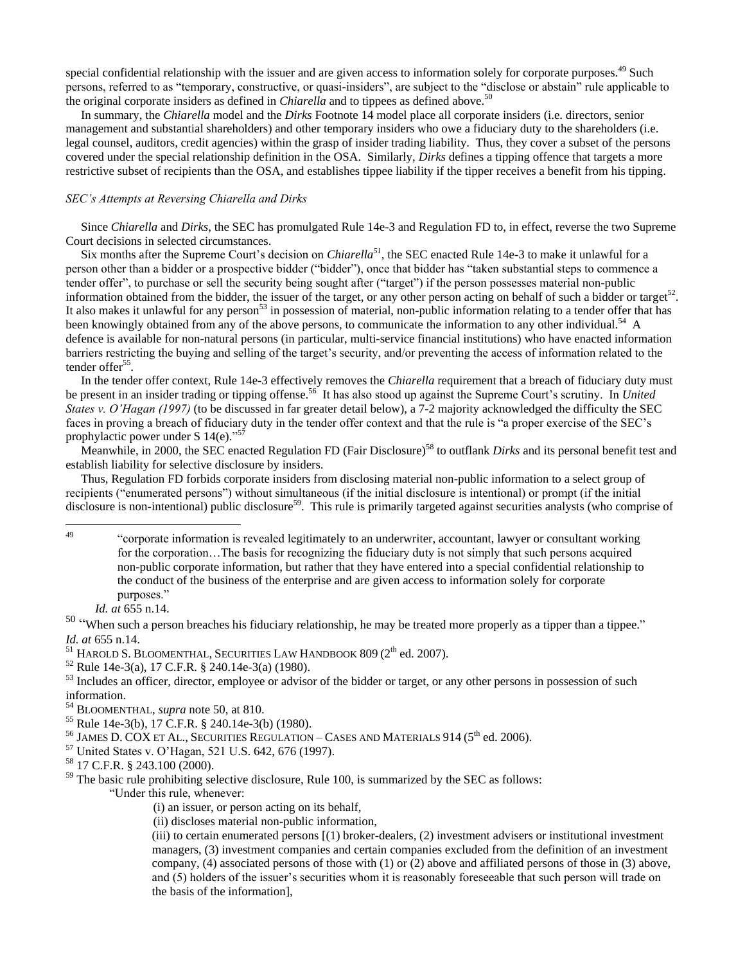special confidential relationship with the issuer and are given access to information solely for corporate purposes.<sup>49</sup> Such persons, referred to as "temporary, constructive, or quasi-insiders", are subject to the "disclose or abstain" rule applicable to the original corporate insiders as defined in *Chiarella* and to tippees as defined above.<sup>50</sup>

 In summary, the *Chiarella* model and the *Dirks* Footnote 14 model place all corporate insiders (i.e. directors, senior management and substantial shareholders) and other temporary insiders who owe a fiduciary duty to the shareholders (i.e. legal counsel, auditors, credit agencies) within the grasp of insider trading liability. Thus, they cover a subset of the persons covered under the special relationship definition in the OSA. Similarly, *Dirks* defines a tipping offence that targets a more restrictive subset of recipients than the OSA, and establishes tippee liability if the tipper receives a benefit from his tipping.

### *SEC's Attempts at Reversing Chiarella and Dirks*

 Since *Chiarella* and *Dirks*, the SEC has promulgated Rule 14e-3 and Regulation FD to, in effect, reverse the two Supreme Court decisions in selected circumstances.

 Six months after the Supreme Court's decision on *Chiarella<sup>51</sup>*, the SEC enacted Rule 14e-3 to make it unlawful for a person other than a bidder or a prospective bidder ("bidder"), once that bidder has "taken substantial steps to commence a tender offer", to purchase or sell the security being sought after ("target") if the person possesses material non-public information obtained from the bidder, the issuer of the target, or any other person acting on behalf of such a bidder or target<sup>52</sup>. It also makes it unlawful for any person<sup>53</sup> in possession of material, non-public information relating to a tender offer that has been knowingly obtained from any of the above persons, to communicate the information to any other individual.<sup>54</sup> A defence is available for non-natural persons (in particular, multi-service financial institutions) who have enacted information barriers restricting the buying and selling of the target's security, and/or preventing the access of information related to the tender offer<sup>55</sup>.

 In the tender offer context, Rule 14e-3 effectively removes the *Chiarella* requirement that a breach of fiduciary duty must be present in an insider trading or tipping offense.<sup>56</sup> It has also stood up against the Supreme Court's scrutiny. In *United States v. O'Hagan (1997)* (to be discussed in far greater detail below), a 7-2 majority acknowledged the difficulty the SEC faces in proving a breach of fiduciary duty in the tender offer context and that the rule is "a proper exercise of the SEC's prophylactic power under S  $14(e)$ ."<sup>57</sup>

Meanwhile, in 2000, the SEC enacted Regulation FD (Fair Disclosure)<sup>58</sup> to outflank *Dirks* and its personal benefit test and establish liability for selective disclosure by insiders.

 Thus, Regulation FD forbids corporate insiders from disclosing material non-public information to a select group of recipients ("enumerated persons") without simultaneous (if the initial disclosure is intentional) or prompt (if the initial disclosure is non-intentional) public disclosure<sup>59</sup>. This rule is primarily targeted against securities analysts (who comprise of

49

<sup>52</sup> Rule 14e-3(a), 17 C.F.R. § 240.14e-3(a) (1980).

- <sup>54</sup> BLOOMENTHAL, *supra* note 50, at 810.
- <sup>55</sup> Rule 14e-3(b), 17 C.F.R. § 240.14e-3(b) (1980).
- $56$  JAMES D. COX ET AL., SECURITIES REGULATION CASES AND MATERIALS 914 ( $5<sup>th</sup>$  ed. 2006).
- <sup>57</sup> United States v. O'Hagan, 521 U.S. 642, 676 (1997).
- <sup>58</sup> 17 C.F.R. § 243.100 (2000).

―Under this rule, whenever:

(i) an issuer, or person acting on its behalf,

(ii) discloses material non-public information,

(iii) to certain enumerated persons [(1) broker-dealers, (2) investment advisers or institutional investment managers, (3) investment companies and certain companies excluded from the definition of an investment company, (4) associated persons of those with (1) or (2) above and affiliated persons of those in (3) above, and (5) holders of the issuer's securities whom it is reasonably foreseeable that such person will trade on the basis of the information],

<sup>49</sup> ―corporate information is revealed legitimately to an underwriter, accountant, lawyer or consultant working for the corporation…The basis for recognizing the fiduciary duty is not simply that such persons acquired non-public corporate information, but rather that they have entered into a special confidential relationship to the conduct of the business of the enterprise and are given access to information solely for corporate purposes."

*Id. at* 655 n.14.

 $50$  "When such a person breaches his fiduciary relationship, he may be treated more properly as a tipper than a tippee." *Id. at* 655 n.14.

 $51$  HAROLD S. BLOOMENTHAL, SECURITIES LAW HANDBOOK 809 ( $2<sup>th</sup>$  ed. 2007).

<sup>&</sup>lt;sup>53</sup> Includes an officer, director, employee or advisor of the bidder or target, or any other persons in possession of such information.

 $59$  The basic rule prohibiting selective disclosure, Rule 100, is summarized by the SEC as follows: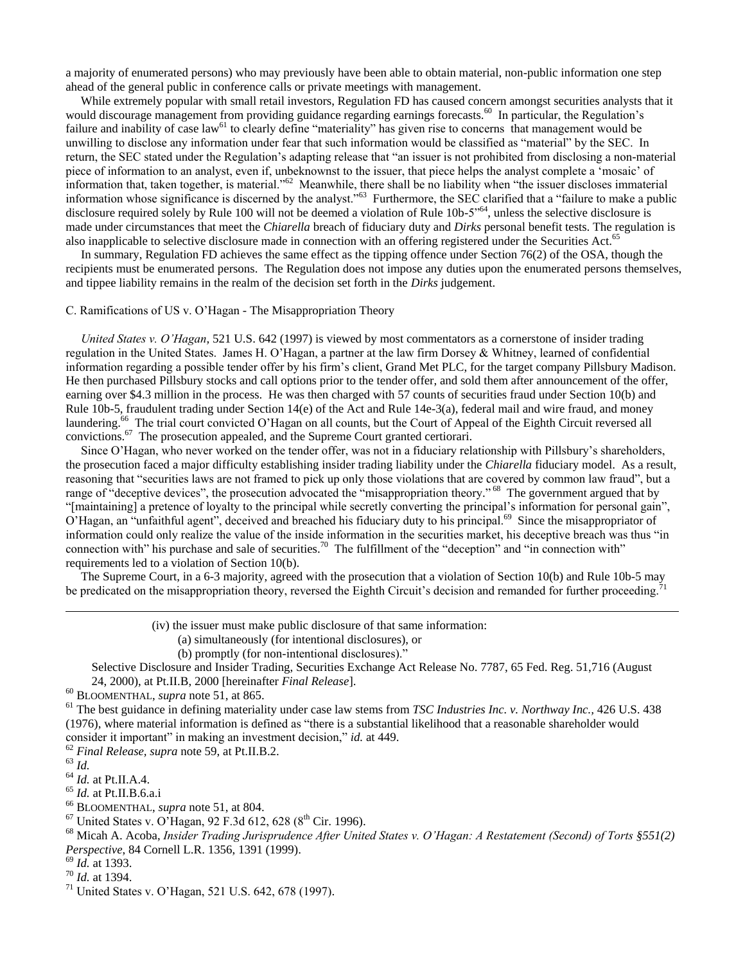a majority of enumerated persons) who may previously have been able to obtain material, non-public information one step ahead of the general public in conference calls or private meetings with management.

 While extremely popular with small retail investors, Regulation FD has caused concern amongst securities analysts that it would discourage management from providing guidance regarding earnings forecasts.<sup>60</sup> In particular, the Regulation's failure and inability of case law<sup>61</sup> to clearly define "materiality" has given rise to concerns that management would be unwilling to disclose any information under fear that such information would be classified as "material" by the SEC. In return, the SEC stated under the Regulation's adapting release that "an issuer is not prohibited from disclosing a non-material piece of information to an analyst, even if, unbeknownst to the issuer, that piece helps the analyst complete a 'mosaic' of information that, taken together, is material.<sup>562</sup> Meanwhile, there shall be no liability when "the issuer discloses immaterial information whose significance is discerned by the analyst.<sup>563</sup> Furthermore, the SEC clarified that a "failure to make a public disclosure required solely by Rule 100 will not be deemed a violation of Rule 10b-5<sup> $,64$ </sup>, unless the selective disclosure is made under circumstances that meet the *Chiarella* breach of fiduciary duty and *Dirks* personal benefit tests. The regulation is also inapplicable to selective disclosure made in connection with an offering registered under the Securities Act.<sup>65</sup>

 In summary, Regulation FD achieves the same effect as the tipping offence under Section 76(2) of the OSA, though the recipients must be enumerated persons. The Regulation does not impose any duties upon the enumerated persons themselves, and tippee liability remains in the realm of the decision set forth in the *Dirks* judgement.

# C. Ramifications of US v. O'Hagan - The Misappropriation Theory

 *United States v. O'Hagan,* 521 U.S. 642 (1997) is viewed by most commentators as a cornerstone of insider trading regulation in the United States. James H. O'Hagan, a partner at the law firm Dorsey & Whitney, learned of confidential information regarding a possible tender offer by his firm's client, Grand Met PLC, for the target company Pillsbury Madison. He then purchased Pillsbury stocks and call options prior to the tender offer, and sold them after announcement of the offer, earning over \$4.3 million in the process. He was then charged with 57 counts of securities fraud under Section 10(b) and Rule 10b-5, fraudulent trading under Section 14(e) of the Act and Rule 14e-3(a), federal mail and wire fraud, and money laundering.<sup>66</sup> The trial court convicted O'Hagan on all counts, but the Court of Appeal of the Eighth Circuit reversed all convictions.<sup>67</sup> The prosecution appealed, and the Supreme Court granted certiorari.

 Since O'Hagan, who never worked on the tender offer, was not in a fiduciary relationship with Pillsbury's shareholders, the prosecution faced a major difficulty establishing insider trading liability under the *Chiarella* fiduciary model. As a result, reasoning that "securities laws are not framed to pick up only those violations that are covered by common law fraud", but a range of "deceptive devices", the prosecution advocated the "misappropriation theory."<sup>68</sup> The government argued that by "[maintaining] a pretence of loyalty to the principal while secretly converting the principal's information for personal gain", O'Hagan, an "unfaithful agent", deceived and breached his fiduciary duty to his principal.<sup>69</sup> Since the misappropriator of information could only realize the value of the inside information in the securities market, his deceptive breach was thus "in connection with" his purchase and sale of securities.<sup>70</sup> The fulfillment of the "deception" and "in connection with" requirements led to a violation of Section 10(b).

 The Supreme Court, in a 6-3 majority, agreed with the prosecution that a violation of Section 10(b) and Rule 10b-5 may be predicated on the misappropriation theory, reversed the Eighth Circuit's decision and remanded for further proceeding.

(iv) the issuer must make public disclosure of that same information:

- (a) simultaneously (for intentional disclosures), or
- (b) promptly (for non-intentional disclosures)."

Selective Disclosure and Insider Trading, Securities Exchange Act Release No. 7787, 65 Fed. Reg. 51,716 (August 24, 2000), at Pt.II.B, 2000 [hereinafter *Final Release*].

<sup>61</sup> The best guidance in defining materiality under case law stems from *TSC Industries Inc. v. Northway Inc.,* 426 U.S. 438  $(1976)$ , where material information is defined as "there is a substantial likelihood that a reasonable shareholder would consider it important" in making an investment decision," *id.* at 449.

<sup>62</sup> *Final Release, supra* note 59, at Pt.II.B.2.

<sup>63</sup> *Id.*

 $\overline{a}$ 

- <sup>64</sup> *Id.* at Pt.II.A.4.
- <sup>65</sup> *Id.* at Pt.II.B.6.a.i
- <sup>66</sup> BLOOMENTHAL, *supra* note 51, at 804.

<sup>68</sup> Micah A. Acoba, *Insider Trading Jurisprudence After United States v. O'Hagan: A Restatement (Second) of Torts §551(2) Perspective*, 84 Cornell L.R. 1356, 1391 (1999).

<sup>69</sup> *Id.* at 1393.

<sup>60</sup> BLOOMENTHAL, *supra* note 51, at 865.

 $67$  United States v. O'Hagan, 92 F.3d 612, 628 ( $8<sup>th</sup>$  Cir. 1996).

<sup>70</sup> *Id.* at 1394.

<sup>71</sup> United States v. O'Hagan, 521 U.S. 642, 678 (1997).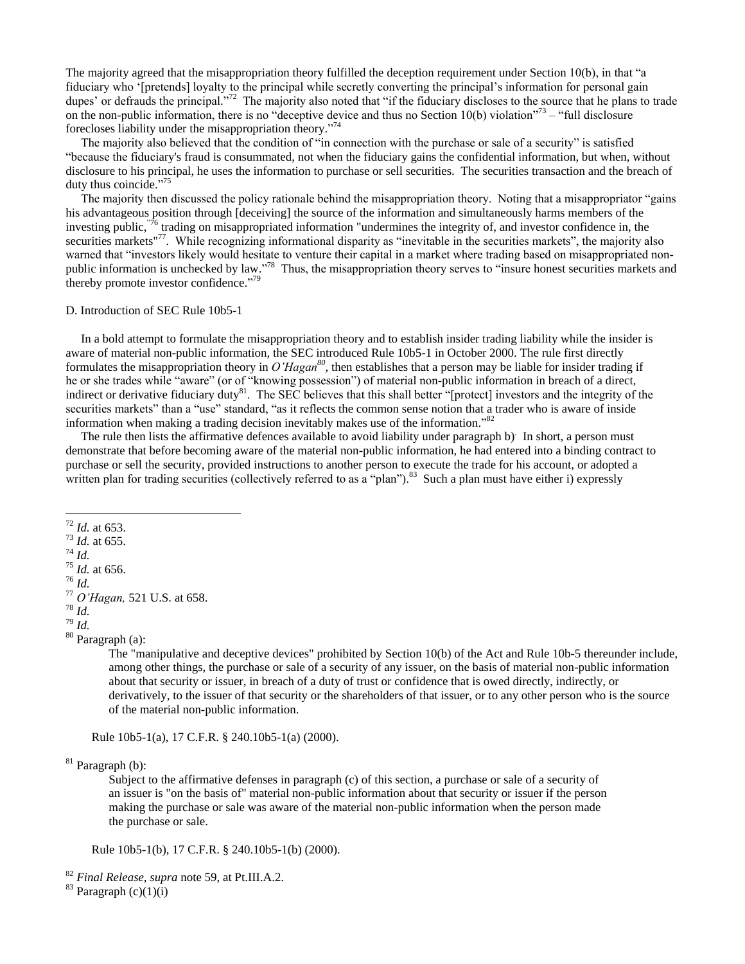The majority agreed that the misappropriation theory fulfilled the deception requirement under Section  $10(b)$ , in that "a fiduciary who ‗[pretends] loyalty to the principal while secretly converting the principal's information for personal gain dupes' or defrauds the principal."<sup>72</sup> The majority also noted that "if the fiduciary discloses to the source that he plans to trade on the non-public information, there is no "deceptive device and thus no Section 10(b) violation"<sup>73</sup> – "full disclosure forecloses liability under the misappropriation theory."<sup>74</sup>

The majority also believed that the condition of "in connection with the purchase or sale of a security" is satisfied ―because the fiduciary's fraud is consummated, not when the fiduciary gains the confidential information, but when, without disclosure to his principal, he uses the information to purchase or sell securities. The securities transaction and the breach of duty thus coincide."<sup>75</sup>

The majority then discussed the policy rationale behind the misappropriation theory. Noting that a misappropriator "gains" his advantageous position through [deceiving] the source of the information and simultaneously harms members of the investing public,  $\frac{76}{10}$  trading on misappropriated information "undermines the integrity of, and investor confidence in, the securities markets"<sup>77</sup>. While recognizing informational disparity as "inevitable in the securities markets", the majority also warned that "investors likely would hesitate to venture their capital in a market where trading based on misappropriated nonpublic information is unchecked by law."<sup>78</sup> Thus, the misappropriation theory serves to "insure honest securities markets and thereby promote investor confidence."<sup>79</sup>

#### D. Introduction of SEC Rule 10b5-1

 In a bold attempt to formulate the misappropriation theory and to establish insider trading liability while the insider is aware of material non-public information, the SEC introduced Rule 10b5-1 in October 2000. The rule first directly formulates the misappropriation theory in  $O'Hagan^{80}$ , then establishes that a person may be liable for insider trading if he or she trades while "aware" (or of "knowing possession") of material non-public information in breach of a direct, indirect or derivative fiduciary duty $81$ . The SEC believes that this shall better "[protect] investors and the integrity of the securities markets" than a "use" standard, "as it reflects the common sense notion that a trader who is aware of inside information when making a trading decision inevitably makes use of the information.<sup>882</sup>

The rule then lists the affirmative defences available to avoid liability under paragraph b) In short, a person must demonstrate that before becoming aware of the material non-public information, he had entered into a binding contract to purchase or sell the security, provided instructions to another person to execute the trade for his account, or adopted a written plan for trading securities (collectively referred to as a "plan").<sup>83</sup> Such a plan must have either i) expressly

- <sup>73</sup> *Id.* at 655.
- <sup>74</sup> *Id.*

 $\overline{a}$ 

- <sup>75</sup> *Id.* at 656.
- <sup>76</sup> *Id.*

- <sup>78</sup> *Id.*
- <sup>79</sup> *Id.*
- <sup>80</sup> Paragraph (a):

The "manipulative and deceptive devices" prohibited by Section 10(b) of the Act and Rule 10b-5 thereunder include, among other things, the purchase or sale of a security of any issuer, on the basis of material non-public information about that security or issuer, in breach of a duty of trust or confidence that is owed directly, indirectly, or derivatively, to the issuer of that security or the shareholders of that issuer, or to any other person who is the source of the material non-public information.

Rule 10b5-1(a), 17 C.F.R. § 240.10b5-1(a) (2000).

 $81$  Paragraph (b):

Subject to the affirmative defenses in paragraph (c) of this section, a purchase or sale of a security of an issuer is "on the basis of" material non-public information about that security or issuer if the person making the purchase or sale was aware of the material non-public information when the person made the purchase or sale.

Rule 10b5-1(b), 17 C.F.R. § 240.10b5-1(b) (2000).

<sup>72</sup> *Id.* at 653.

<sup>77</sup> *O'Hagan,* 521 U.S. at 658.

<sup>82</sup> *Final Release, supra* note 59, at Pt.III.A.2.

 $83$  Paragraph (c)(1)(i)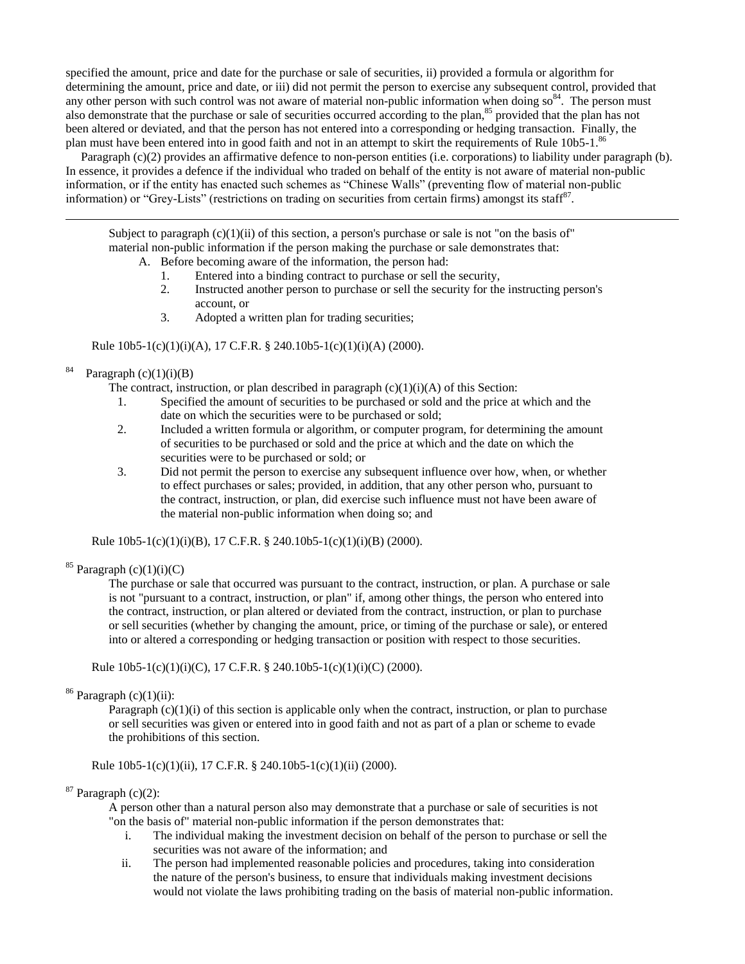specified the amount, price and date for the purchase or sale of securities, ii) provided a formula or algorithm for determining the amount, price and date, or iii) did not permit the person to exercise any subsequent control, provided that any other person with such control was not aware of material non-public information when doing  $\text{so}^{84}$ . The person must also demonstrate that the purchase or sale of securities occurred according to the plan,<sup>85</sup> provided that the plan has not been altered or deviated, and that the person has not entered into a corresponding or hedging transaction. Finally, the plan must have been entered into in good faith and not in an attempt to skirt the requirements of Rule 10b5-1.<sup>86</sup>

 Paragraph (c)(2) provides an affirmative defence to non-person entities (i.e. corporations) to liability under paragraph (b). In essence, it provides a defence if the individual who traded on behalf of the entity is not aware of material non-public information, or if the entity has enacted such schemes as "Chinese Walls" (preventing flow of material non-public information) or "Grey-Lists" (restrictions on trading on securities from certain firms) amongst its staff<sup>87</sup>.

Subject to paragraph (c)(1)(ii) of this section, a person's purchase or sale is not "on the basis of" material non-public information if the person making the purchase or sale demonstrates that: A. Before becoming aware of the information, the person had:

1. Entered into a binding contract to purchase or sell the security,

- 2. Instructed another person to purchase or sell the security for the instructing person's account, or
- 3. Adopted a written plan for trading securities;

Rule 10b5-1(c)(1)(i)(A), 17 C.F.R. § 240.10b5-1(c)(1)(i)(A) (2000).

#### 84 Paragraph  $(c)(1)(i)(B)$

 $\overline{a}$ 

The contract, instruction, or plan described in paragraph  $(c)(1)(i)(A)$  of this Section:

- 1. Specified the amount of securities to be purchased or sold and the price at which and the date on which the securities were to be purchased or sold;
- 2. Included a written formula or algorithm, or computer program, for determining the amount of securities to be purchased or sold and the price at which and the date on which the securities were to be purchased or sold; or
- 3. Did not permit the person to exercise any subsequent influence over how, when, or whether to effect purchases or sales; provided, in addition, that any other person who, pursuant to the contract, instruction, or plan, did exercise such influence must not have been aware of the material non-public information when doing so; and

Rule 10b5-1(c)(1)(i)(B), 17 C.F.R. § 240.10b5-1(c)(1)(i)(B) (2000).

 $85$  Paragraph (c)(1)(i)(C)

The purchase or sale that occurred was pursuant to the contract, instruction, or plan. A purchase or sale is not "pursuant to a contract, instruction, or plan" if, among other things, the person who entered into the contract, instruction, or plan altered or deviated from the contract, instruction, or plan to purchase or sell securities (whether by changing the amount, price, or timing of the purchase or sale), or entered into or altered a corresponding or hedging transaction or position with respect to those securities.

Rule  $10b5-1(c)(1)(i)(C)$ , 17 C.F.R. § 240.10b5-1(c)(1)(i)(C) (2000).

 $86$  Paragraph (c)(1)(ii):

Paragraph  $(c)(1)(i)$  of this section is applicable only when the contract, instruction, or plan to purchase or sell securities was given or entered into in good faith and not as part of a plan or scheme to evade the prohibitions of this section.

Rule 10b5-1(c)(1)(ii), 17 C.F.R. § 240.10b5-1(c)(1)(ii) (2000).

 $87$  Paragraph (c)(2):

A person other than a natural person also may demonstrate that a purchase or sale of securities is not "on the basis of" material non-public information if the person demonstrates that:

- i. The individual making the investment decision on behalf of the person to purchase or sell the securities was not aware of the information; and
- ii. The person had implemented reasonable policies and procedures, taking into consideration the nature of the person's business, to ensure that individuals making investment decisions would not violate the laws prohibiting trading on the basis of material non-public information.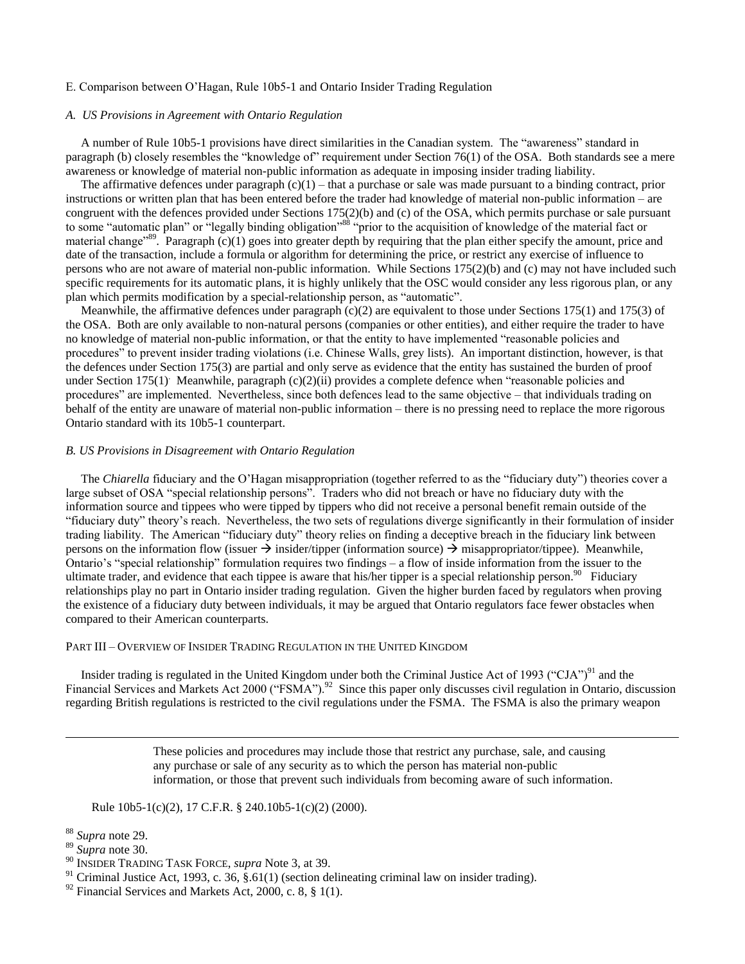# E. Comparison between O'Hagan, Rule 10b5-1 and Ontario Insider Trading Regulation

### *A. US Provisions in Agreement with Ontario Regulation*

A number of Rule 10b5-1 provisions have direct similarities in the Canadian system. The "awareness" standard in paragraph (b) closely resembles the "knowledge of" requirement under Section  $76(1)$  of the OSA. Both standards see a mere awareness or knowledge of material non-public information as adequate in imposing insider trading liability.

The affirmative defences under paragraph  $(c)(1)$  – that a purchase or sale was made pursuant to a binding contract, prior instructions or written plan that has been entered before the trader had knowledge of material non-public information – are congruent with the defences provided under Sections 175(2)(b) and (c) of the OSA, which permits purchase or sale pursuant to some "automatic plan" or "legally binding obligation"<sup>88</sup> "prior to the acquisition of knowledge of the material fact or material change<sup>89</sup>. Paragraph  $(c)(1)$  goes into greater depth by requiring that the plan either specify the amount, price and date of the transaction, include a formula or algorithm for determining the price, or restrict any exercise of influence to persons who are not aware of material non-public information. While Sections 175(2)(b) and (c) may not have included such specific requirements for its automatic plans, it is highly unlikely that the OSC would consider any less rigorous plan, or any plan which permits modification by a special-relationship person, as "automatic".

Meanwhile, the affirmative defences under paragraph  $(c)(2)$  are equivalent to those under Sections 175(1) and 175(3) of the OSA. Both are only available to non-natural persons (companies or other entities), and either require the trader to have no knowledge of material non-public information, or that the entity to have implemented "reasonable policies and procedures‖ to prevent insider trading violations (i.e. Chinese Walls, grey lists). An important distinction, however, is that the defences under Section 175(3) are partial and only serve as evidence that the entity has sustained the burden of proof under Section 175(1) Meanwhile, paragraph (c)(2)(ii) provides a complete defence when "reasonable policies and procedures‖ are implemented. Nevertheless, since both defences lead to the same objective – that individuals trading on behalf of the entity are unaware of material non-public information – there is no pressing need to replace the more rigorous Ontario standard with its 10b5-1 counterpart.

# *B. US Provisions in Disagreement with Ontario Regulation*

The *Chiarella* fiduciary and the O'Hagan misappropriation (together referred to as the "fiduciary duty") theories cover a large subset of OSA "special relationship persons". Traders who did not breach or have no fiduciary duty with the information source and tippees who were tipped by tippers who did not receive a personal benefit remain outside of the ―fiduciary duty‖ theory's reach. Nevertheless, the two sets of regulations diverge significantly in their formulation of insider trading liability. The American "fiduciary duty" theory relies on finding a deceptive breach in the fiduciary link between persons on the information flow (issuer  $\rightarrow$  insider/tipper (information source)  $\rightarrow$  misappropriator/tippee). Meanwhile, Ontario's "special relationship" formulation requires two findings – a flow of inside information from the issuer to the ultimate trader, and evidence that each tippee is aware that his/her tipper is a special relationship person.<sup>90</sup> Fiduciary relationships play no part in Ontario insider trading regulation. Given the higher burden faced by regulators when proving the existence of a fiduciary duty between individuals, it may be argued that Ontario regulators face fewer obstacles when compared to their American counterparts.

### PART III – OVERVIEW OF INSIDER TRADING REGULATION IN THE UNITED KINGDOM

Insider trading is regulated in the United Kingdom under both the Criminal Justice Act of 1993 ("CJA")<sup>91</sup> and the Financial Services and Markets Act 2000 ("FSMA").<sup>92</sup> Since this paper only discusses civil regulation in Ontario, discussion regarding British regulations is restricted to the civil regulations under the FSMA. The FSMA is also the primary weapon

> These policies and procedures may include those that restrict any purchase, sale, and causing any purchase or sale of any security as to which the person has material non-public information, or those that prevent such individuals from becoming aware of such information.

Rule 10b5-1(c)(2), 17 C.F.R. § 240.10b5-1(c)(2) (2000).

<sup>88</sup> *Supra* note 29.

<sup>89</sup> *Supra* note 30.

<sup>90</sup> INSIDER TRADING TASK FORCE, *supra* Note 3, at 39.

<sup>&</sup>lt;sup>91</sup> Criminal Justice Act, 1993, c. 36,  $\frac{2}{3}$ .61(1) (section delineating criminal law on insider trading).

 $92$  Financial Services and Markets Act, 2000, c. 8, § 1(1).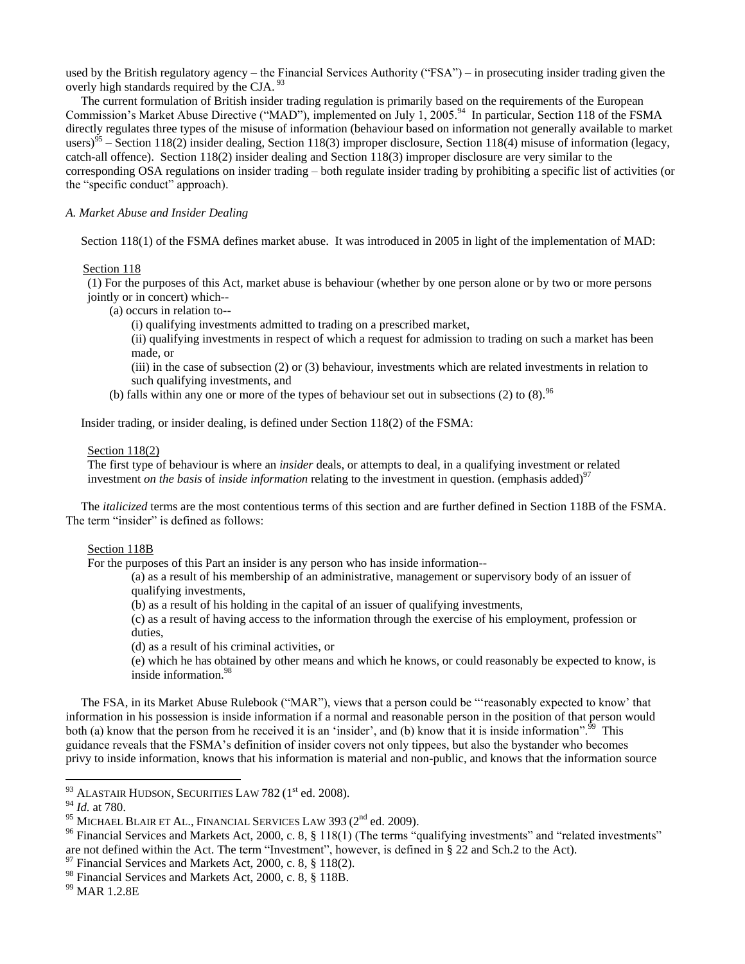used by the British regulatory agency – the Financial Services Authority ("FSA") – in prosecuting insider trading given the overly high standards required by the CJA.<sup>93</sup>

 The current formulation of British insider trading regulation is primarily based on the requirements of the European Commission's Market Abuse Directive ("MAD"), implemented on July 1, 2005.<sup>94</sup> In particular, Section 118 of the FSMA directly regulates three types of the misuse of information (behaviour based on information not generally available to market users)<sup>95</sup> – Section 118(2) insider dealing, Section 118(3) improper disclosure, Section 118(4) misuse of information (legacy, catch-all offence). Section 118(2) insider dealing and Section 118(3) improper disclosure are very similar to the corresponding OSA regulations on insider trading – both regulate insider trading by prohibiting a specific list of activities (or the "specific conduct" approach).

# *A. Market Abuse and Insider Dealing*

Section 118(1) of the FSMA defines market abuse. It was introduced in 2005 in light of the implementation of MAD:

### Section 118

(1) For the purposes of this Act, market abuse is behaviour (whether by one person alone or by two or more persons jointly or in concert) which--

(a) occurs in relation to--

(i) qualifying investments admitted to trading on a prescribed market,

(ii) qualifying investments in respect of which a request for admission to trading on such a market has been made, or

(iii) in the case of subsection (2) or (3) behaviour, investments which are related investments in relation to such qualifying investments, and

(b) falls within any one or more of the types of behaviour set out in subsections (2) to (8). <sup>96</sup>

Insider trading, or insider dealing, is defined under Section 118(2) of the FSMA:

# Section 118(2)

The first type of behaviour is where an *insider* deals, or attempts to deal, in a qualifying investment or related investment *on the basis* of *inside information* relating to the investment in question. (emphasis added)<sup>97</sup>

 The *italicized* terms are the most contentious terms of this section and are further defined in Section 118B of the FSMA. The term "insider" is defined as follows:

### Section 118B

For the purposes of this Part an insider is any person who has inside information--

(a) as a result of his membership of an administrative, management or supervisory body of an issuer of qualifying investments,

(b) as a result of his holding in the capital of an issuer of qualifying investments,

(c) as a result of having access to the information through the exercise of his employment, profession or duties,

(d) as a result of his criminal activities, or

(e) which he has obtained by other means and which he knows, or could reasonably be expected to know, is inside information.<sup>98</sup>

The FSA, in its Market Abuse Rulebook ("MAR"), views that a person could be "reasonably expected to know' that information in his possession is inside information if a normal and reasonable person in the position of that person would both (a) know that the person from he received it is an 'insider', and (b) know that it is inside information".  $\frac{99}{10}$  This guidance reveals that the FSMA's definition of insider covers not only tippees, but also the bystander who becomes privy to inside information, knows that his information is material and non-public, and knows that the information source

 $\overline{a}$ 

 $97$  Financial Services and Markets Act, 2000, c. 8, § 118(2).

<sup>93</sup> ALASTAIR HUDSON, SECURITIES LAW 782 (1<sup>st</sup> ed. 2008).

<sup>94</sup> *Id.* at 780.

 $^{95}$  MICHAEL BLAIR ET AL., FINANCIAL SERVICES LAW 393 ( $2<sup>nd</sup>$  ed. 2009).

 $96$  Financial Services and Markets Act, 2000, c. 8, § 118(1) (The terms "qualifying investments" and "related investments" are not defined within the Act. The term "Investment", however, is defined in § 22 and Sch.2 to the Act).

<sup>98</sup> Financial Services and Markets Act, 2000, c. 8, § 118B.

<sup>99</sup> MAR 1.2.8E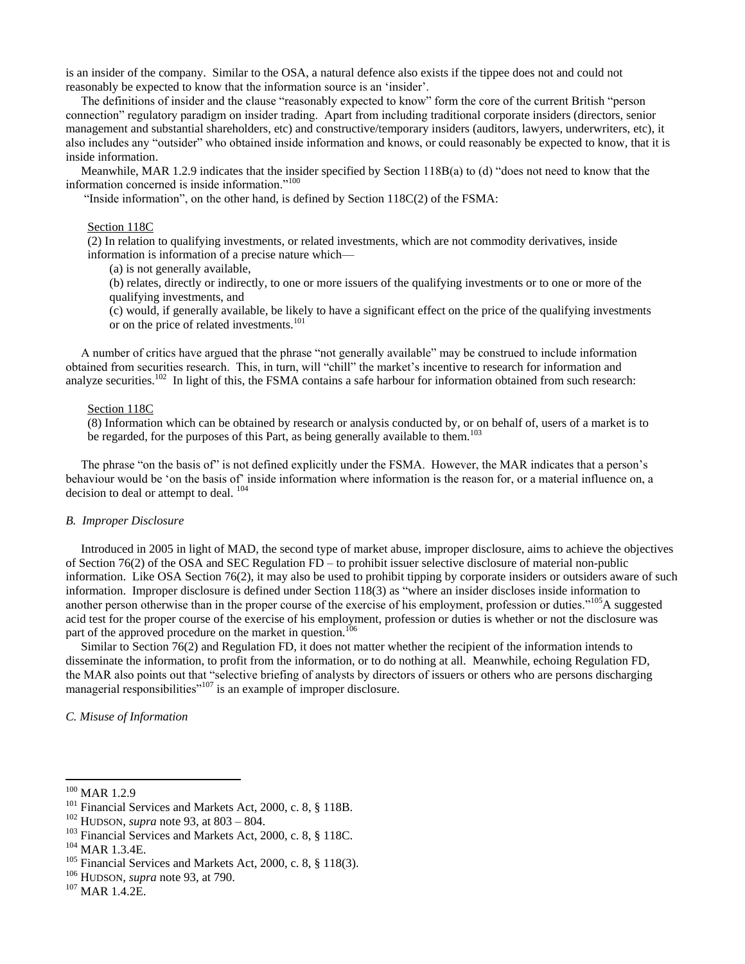is an insider of the company. Similar to the OSA, a natural defence also exists if the tippee does not and could not reasonably be expected to know that the information source is an 'insider'.

The definitions of insider and the clause "reasonably expected to know" form the core of the current British "person connection" regulatory paradigm on insider trading. Apart from including traditional corporate insiders (directors, senior management and substantial shareholders, etc) and constructive/temporary insiders (auditors, lawyers, underwriters, etc), it also includes any "outsider" who obtained inside information and knows, or could reasonably be expected to know, that it is inside information.

Meanwhile, MAR 1.2.9 indicates that the insider specified by Section 118B(a) to (d) "does not need to know that the information concerned is inside information."<sup>100</sup>

"Inside information", on the other hand, is defined by Section  $118C(2)$  of the FSMA:

### Section 118C

(2) In relation to qualifying investments, or related investments, which are not commodity derivatives, inside information is information of a precise nature which—

(a) is not generally available,

(b) relates, directly or indirectly, to one or more issuers of the qualifying investments or to one or more of the qualifying investments, and

(c) would, if generally available, be likely to have a significant effect on the price of the qualifying investments or on the price of related investments.<sup>101</sup>

A number of critics have argued that the phrase "not generally available" may be construed to include information obtained from securities research. This, in turn, will "chill" the market's incentive to research for information and analyze securities.<sup>102</sup> In light of this, the FSMA contains a safe harbour for information obtained from such research:

# Section 118C

(8) Information which can be obtained by research or analysis conducted by, or on behalf of, users of a market is to be regarded, for the purposes of this Part, as being generally available to them.<sup>103</sup>

The phrase "on the basis of" is not defined explicitly under the FSMA. However, the MAR indicates that a person's behaviour would be 'on the basis of' inside information where information is the reason for, or a material influence on, a decision to deal or attempt to deal. <sup>104</sup>

#### *B. Improper Disclosure*

 Introduced in 2005 in light of MAD, the second type of market abuse, improper disclosure, aims to achieve the objectives of Section 76(2) of the OSA and SEC Regulation FD – to prohibit issuer selective disclosure of material non-public information. Like OSA Section 76(2), it may also be used to prohibit tipping by corporate insiders or outsiders aware of such information. Improper disclosure is defined under Section  $118(3)$  as "where an insider discloses inside information to another person otherwise than in the proper course of the exercise of his employment, profession or duties."<sup>105</sup>A suggested acid test for the proper course of the exercise of his employment, profession or duties is whether or not the disclosure was part of the approved procedure on the market in question.<sup>106</sup>

 Similar to Section 76(2) and Regulation FD, it does not matter whether the recipient of the information intends to disseminate the information, to profit from the information, or to do nothing at all. Meanwhile, echoing Regulation FD, the MAR also points out that "selective briefing of analysts by directors of issuers or others who are persons discharging managerial responsibilities"<sup>107</sup> is an example of improper disclosure.

*C. Misuse of Information*

 $100$  MAR 1.2.9

<sup>&</sup>lt;sup>101</sup> Financial Services and Markets Act, 2000, c. 8, § 118B.

<sup>102</sup> HUDSON, *supra* note 93, at 803 – 804.

<sup>&</sup>lt;sup>103</sup> Financial Services and Markets Act, 2000, c. 8, § 118C.

<sup>104</sup> MAR 1.3.4E.

 $105$  Financial Services and Markets Act, 2000, c. 8, § 118(3).

<sup>106</sup> HUDSON, *supra* note 93, at 790.

<sup>107</sup> MAR 1.4.2E.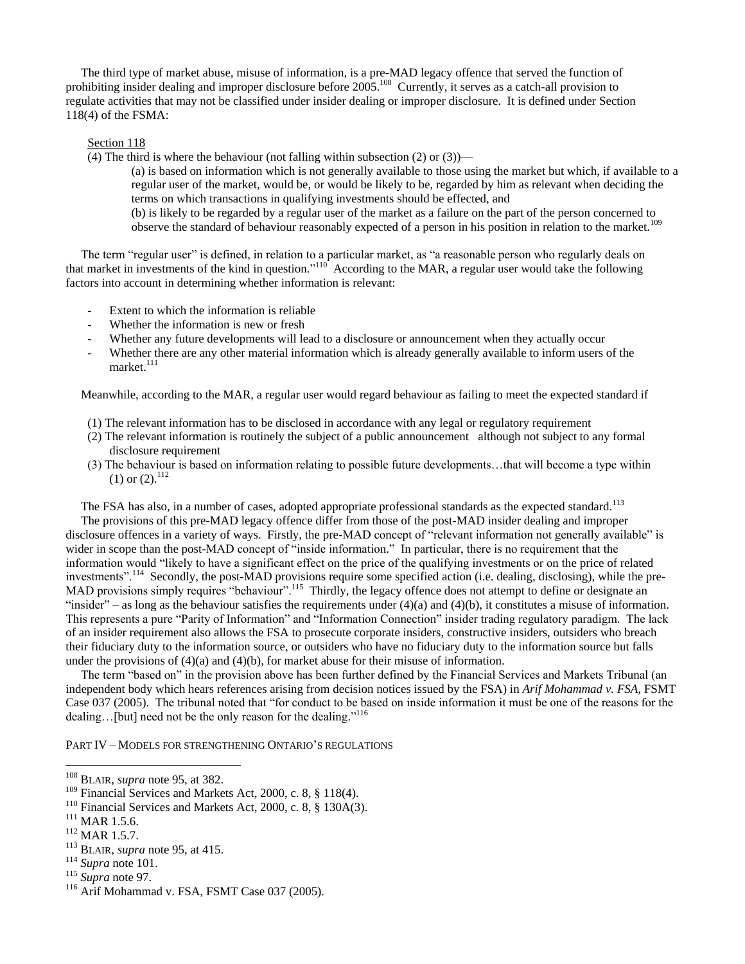The third type of market abuse, misuse of information, is a pre-MAD legacy offence that served the function of prohibiting insider dealing and improper disclosure before 2005.<sup>108</sup> Currently, it serves as a catch-all provision to regulate activities that may not be classified under insider dealing or improper disclosure. It is defined under Section 118(4) of the FSMA:

### Section 118

(4) The third is where the behaviour (not falling within subsection  $(2)$  or  $(3)$ )—

(a) is based on information which is not generally available to those using the market but which, if available to a regular user of the market, would be, or would be likely to be, regarded by him as relevant when deciding the terms on which transactions in qualifying investments should be effected, and (b) is likely to be regarded by a regular user of the market as a failure on the part of the person concerned to

observe the standard of behaviour reasonably expected of a person in his position in relation to the market.<sup>109</sup>

The term "regular user" is defined, in relation to a particular market, as "a reasonable person who regularly deals on that market in investments of the kind in question."<sup>110</sup> According to the MAR, a regular user would take the following factors into account in determining whether information is relevant:

- Extent to which the information is reliable
- Whether the information is new or fresh
- Whether any future developments will lead to a disclosure or announcement when they actually occur
- Whether there are any other material information which is already generally available to inform users of the market.<sup>111</sup>

Meanwhile, according to the MAR, a regular user would regard behaviour as failing to meet the expected standard if

- (1) The relevant information has to be disclosed in accordance with any legal or regulatory requirement
- (2) The relevant information is routinely the subject of a public announcement although not subject to any formal disclosure requirement
- (3) The behaviour is based on information relating to possible future developments…that will become a type within  $(1)$  or  $(2).$ <sup>112</sup>

The FSA has also, in a number of cases, adopted appropriate professional standards as the expected standard.<sup>113</sup>

 The provisions of this pre-MAD legacy offence differ from those of the post-MAD insider dealing and improper disclosure offences in a variety of ways. Firstly, the pre-MAD concept of "relevant information not generally available" is wider in scope than the post-MAD concept of "inside information." In particular, there is no requirement that the information would "likely to have a significant effect on the price of the qualifying investments or on the price of related investments".<sup>114</sup> Secondly, the post-MAD provisions require some specified action (i.e. dealing, disclosing), while the pre-MAD provisions simply requires "behaviour".<sup>115</sup> Thirdly, the legacy offence does not attempt to define or designate an "insider" – as long as the behaviour satisfies the requirements under  $(4)(a)$  and  $(4)(b)$ , it constitutes a misuse of information. This represents a pure "Parity of Information" and "Information Connection" insider trading regulatory paradigm. The lack of an insider requirement also allows the FSA to prosecute corporate insiders, constructive insiders, outsiders who breach their fiduciary duty to the information source, or outsiders who have no fiduciary duty to the information source but falls under the provisions of (4)(a) and (4)(b), for market abuse for their misuse of information.

The term "based on" in the provision above has been further defined by the Financial Services and Markets Tribunal (an independent body which hears references arising from decision notices issued by the FSA) in *Arif Mohammad v. FSA*, FSMT Case 037 (2005). The tribunal noted that "for conduct to be based on inside information it must be one of the reasons for the dealing...[but] need not be the only reason for the dealing."<sup>116</sup>

PART IV – MODELS FOR STRENGTHENING ONTARIO'S REGULATIONS

- <sup>113</sup> BLAIR, *supra* note 95, at 415.
- <sup>114</sup> *Supra* note 101.
- <sup>115</sup> *Supra* note 97.

<sup>108</sup> BLAIR, *supra* note 95, at 382.

<sup>&</sup>lt;sup>109</sup> Financial Services and Markets Act, 2000, c. 8, § 118(4).

<sup>110</sup> Financial Services and Markets Act, 2000, c. 8, § 130A(3).

 $111$  MAR 1.5.6.

<sup>112</sup> MAR 1.5.7.

<sup>&</sup>lt;sup>116</sup> Arif Mohammad v. FSA, FSMT Case 037 (2005).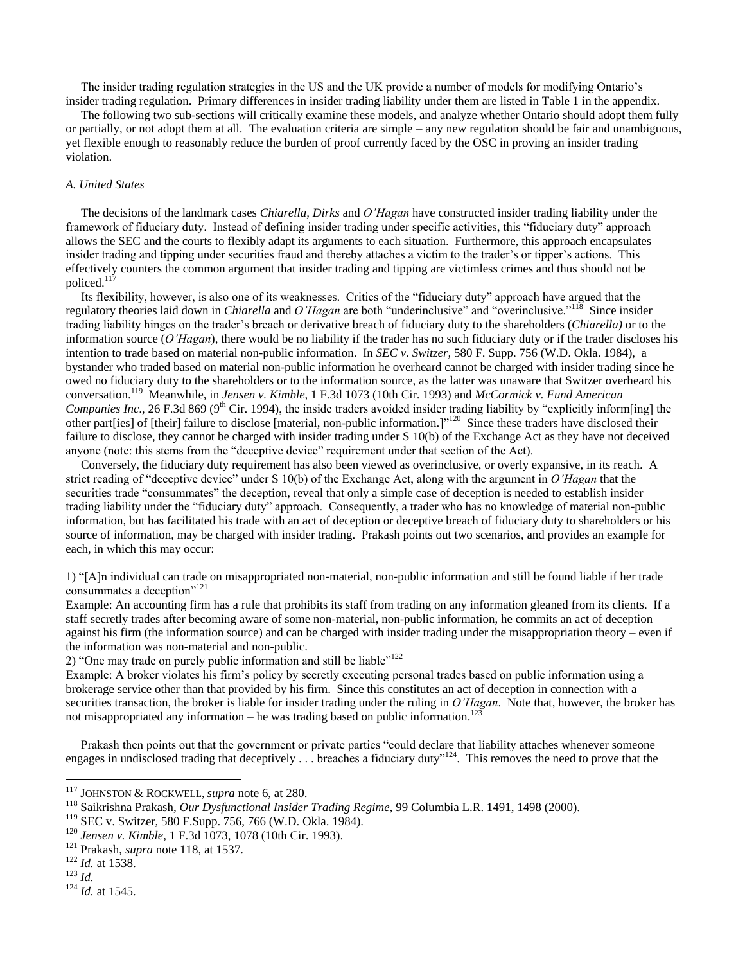The insider trading regulation strategies in the US and the UK provide a number of models for modifying Ontario's insider trading regulation. Primary differences in insider trading liability under them are listed in Table 1 in the appendix.

 The following two sub-sections will critically examine these models, and analyze whether Ontario should adopt them fully or partially, or not adopt them at all. The evaluation criteria are simple – any new regulation should be fair and unambiguous, yet flexible enough to reasonably reduce the burden of proof currently faced by the OSC in proving an insider trading violation.

### *A. United States*

 The decisions of the landmark cases *Chiarella, Dirks* and *O'Hagan* have constructed insider trading liability under the framework of fiduciary duty. Instead of defining insider trading under specific activities, this "fiduciary duty" approach allows the SEC and the courts to flexibly adapt its arguments to each situation. Furthermore, this approach encapsulates insider trading and tipping under securities fraud and thereby attaches a victim to the trader's or tipper's actions. This effectively counters the common argument that insider trading and tipping are victimless crimes and thus should not be policed.<sup>117</sup>

Its flexibility, however, is also one of its weaknesses. Critics of the "fiduciary duty" approach have argued that the regulatory theories laid down in *Chiarella* and *O'Hagan* are both "underinclusive" and "overinclusive."<sup>118</sup> Since insider trading liability hinges on the trader's breach or derivative breach of fiduciary duty to the shareholders (*Chiarella)* or to the information source (*O'Hagan*), there would be no liability if the trader has no such fiduciary duty or if the trader discloses his intention to trade based on material non-public information. In *SEC v. Switzer,* 580 F. Supp. 756 (W.D. Okla. 1984), a bystander who traded based on material non-public information he overheard cannot be charged with insider trading since he owed no fiduciary duty to the shareholders or to the information source, as the latter was unaware that Switzer overheard his conversation.<sup>119</sup> Meanwhile, in *Jensen v. Kimble*, 1 F.3d 1073 (10th Cir. 1993) and *McCormick v. Fund American Companies Inc.*, 26 F.3d 869 (9<sup>th</sup> Cir. 1994), the inside traders avoided insider trading liability by "explicitly inform[ing] the other part[ies] of [their] failure to disclose [material, non-public information.]"<sup>120</sup> Since these traders have disclosed their failure to disclose, they cannot be charged with insider trading under S 10(b) of the Exchange Act as they have not deceived anyone (note: this stems from the "deceptive device" requirement under that section of the Act).

 Conversely, the fiduciary duty requirement has also been viewed as overinclusive, or overly expansive, in its reach. A strict reading of "deceptive device" under S 10(b) of the Exchange Act, along with the argument in *O'Hagan* that the securities trade "consummates" the deception, reveal that only a simple case of deception is needed to establish insider trading liability under the "fiduciary duty" approach. Consequently, a trader who has no knowledge of material non-public information, but has facilitated his trade with an act of deception or deceptive breach of fiduciary duty to shareholders or his source of information, may be charged with insider trading. Prakash points out two scenarios, and provides an example for each, in which this may occur:

1) ―[A]n individual can trade on misappropriated non-material, non-public information and still be found liable if her trade consummates a deception"<sup>121</sup>

Example: An accounting firm has a rule that prohibits its staff from trading on any information gleaned from its clients. If a staff secretly trades after becoming aware of some non-material, non-public information, he commits an act of deception against his firm (the information source) and can be charged with insider trading under the misappropriation theory – even if the information was non-material and non-public.

2) "One may trade on purely public information and still be liable" $122$ 

Example: A broker violates his firm's policy by secretly executing personal trades based on public information using a brokerage service other than that provided by his firm. Since this constitutes an act of deception in connection with a securities transaction, the broker is liable for insider trading under the ruling in *O'Hagan*. Note that, however, the broker has not misappropriated any information – he was trading based on public information.<sup>123</sup>

Prakash then points out that the government or private parties "could declare that liability attaches whenever someone engages in undisclosed trading that deceptively  $\ldots$  breaches a fiduciary duty"<sup>124</sup>. This removes the need to prove that the

<sup>123</sup> *Id.*

 $\overline{a}$ 

<sup>124</sup> *Id.* at 1545.

<sup>117</sup> JOHNSTON & ROCKWELL, *supra* note 6, at 280.

<sup>118</sup> Saikrishna Prakash, *Our Dysfunctional Insider Trading Regime,* 99 Columbia L.R. 1491, 1498 (2000).

<sup>119</sup> SEC v. Switzer, 580 F.Supp. 756, 766 (W.D. Okla. 1984).

<sup>120</sup> *Jensen v. Kimble*, 1 F.3d 1073, 1078 (10th Cir. 1993).

<sup>121</sup> Prakash, *supra* note 118, at 1537.

<sup>&</sup>lt;sup>122</sup> *Id.* at 1538.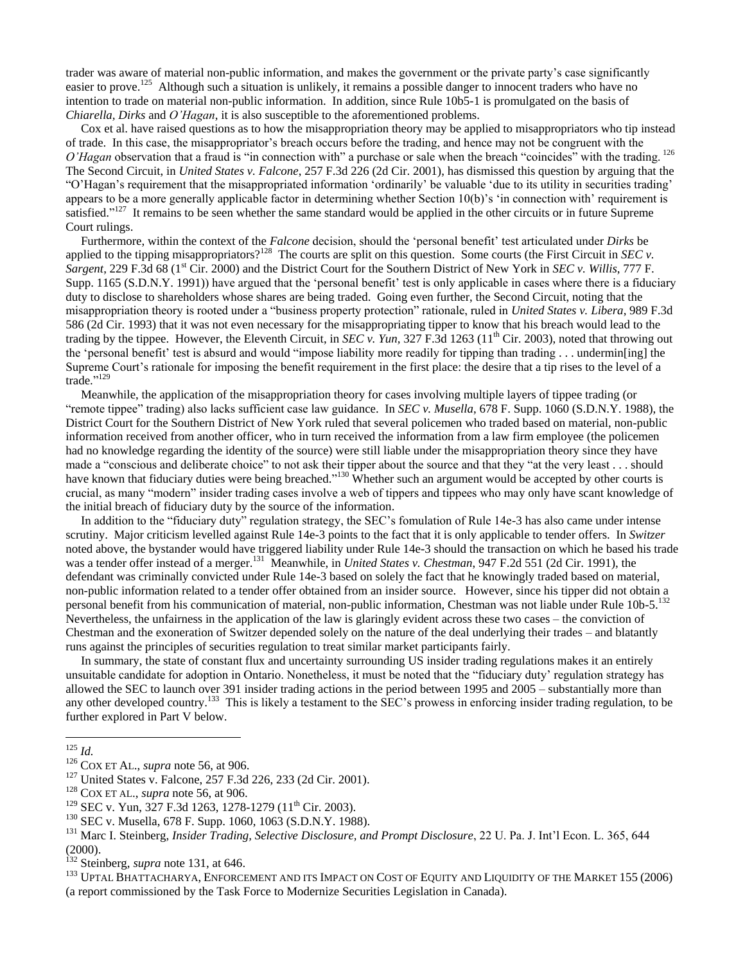trader was aware of material non-public information, and makes the government or the private party's case significantly easier to prove.<sup>125</sup> Although such a situation is unlikely, it remains a possible danger to innocent traders who have no intention to trade on material non-public information. In addition, since Rule 10b5-1 is promulgated on the basis of *Chiarella, Dirks* and *O'Hagan*, it is also susceptible to the aforementioned problems.

 Cox et al. have raised questions as to how the misappropriation theory may be applied to misappropriators who tip instead of trade. In this case, the misappropriator's breach occurs before the trading, and hence may not be congruent with the *O'Hagan* observation that a fraud is "in connection with" a purchase or sale when the breach "coincides" with the trading. <sup>126</sup> The Second Circuit, in *United States v. Falcone*, 257 F.3d 226 (2d Cir. 2001), has dismissed this question by arguing that the ―O'Hagan's requirement that the misappropriated information ‗ordinarily' be valuable ‗due to its utility in securities trading' appears to be a more generally applicable factor in determining whether Section  $10(b)$ 's 'in connection with' requirement is satisfied."<sup>127</sup> It remains to be seen whether the same standard would be applied in the other circuits or in future Supreme Court rulings.

Furthermore, within the context of the *Falcone* decision, should the 'personal benefit' test articulated under *Dirks* be applied to the tipping misappropriators?<sup>128</sup> The courts are split on this question. Some courts (the First Circuit in *SEC v*. *Sargent*, 229 F.3d 68 (1st Cir. 2000) and the District Court for the Southern District of New York in *SEC v. Willis*, 777 F. Supp. 1165 (S.D.N.Y. 1991)) have argued that the 'personal benefit' test is only applicable in cases where there is a fiduciary duty to disclose to shareholders whose shares are being traded. Going even further, the Second Circuit, noting that the misappropriation theory is rooted under a "business property protection" rationale, ruled in *United States v. Libera*, 989 F.3d 586 (2d Cir. 1993) that it was not even necessary for the misappropriating tipper to know that his breach would lead to the trading by the tippee. However, the Eleventh Circuit, in *SEC v. Yun,* 327 F.3d 1263 (11th Cir. 2003), noted that throwing out the 'personal benefit' test is absurd and would "impose liability more readily for tipping than trading  $\dots$  undermin[ing] the Supreme Court's rationale for imposing the benefit requirement in the first place: the desire that a tip rises to the level of a trade."<sup>129</sup>

 Meanwhile, the application of the misappropriation theory for cases involving multiple layers of tippee trading (or "remote tippee" trading) also lacks sufficient case law guidance. In *SEC v. Musella*, 678 F. Supp. 1060 (S.D.N.Y. 1988), the District Court for the Southern District of New York ruled that several policemen who traded based on material, non-public information received from another officer, who in turn received the information from a law firm employee (the policemen had no knowledge regarding the identity of the source) were still liable under the misappropriation theory since they have made a "conscious and deliberate choice" to not ask their tipper about the source and that they "at the very least . . . should have known that fiduciary duties were being breached."<sup>130</sup> Whether such an argument would be accepted by other courts is crucial, as many "modern" insider trading cases involve a web of tippers and tippees who may only have scant knowledge of the initial breach of fiduciary duty by the source of the information.

In addition to the "fiduciary duty" regulation strategy, the SEC's fomulation of Rule 14e-3 has also came under intense scrutiny. Major criticism levelled against Rule 14e-3 points to the fact that it is only applicable to tender offers. In *Switzer* noted above, the bystander would have triggered liability under Rule 14e-3 should the transaction on which he based his trade was a tender offer instead of a merger.<sup>131</sup> Meanwhile, in *United States v. Chestman*, 947 F.2d 551 (2d Cir. 1991), the defendant was criminally convicted under Rule 14e-3 based on solely the fact that he knowingly traded based on material, non-public information related to a tender offer obtained from an insider source. However, since his tipper did not obtain a personal benefit from his communication of material, non-public information, Chestman was not liable under Rule 10b-5.<sup>132</sup> Nevertheless, the unfairness in the application of the law is glaringly evident across these two cases – the conviction of Chestman and the exoneration of Switzer depended solely on the nature of the deal underlying their trades – and blatantly runs against the principles of securities regulation to treat similar market participants fairly.

 In summary, the state of constant flux and uncertainty surrounding US insider trading regulations makes it an entirely unsuitable candidate for adoption in Ontario. Nonetheless, it must be noted that the "fiduciary duty' regulation strategy has allowed the SEC to launch over 391 insider trading actions in the period between 1995 and 2005 – substantially more than any other developed country.<sup>133</sup> This is likely a testament to the SEC's prowess in enforcing insider trading regulation, to be further explored in Part V below.

 $\overline{a}$ 

<sup>131</sup> Marc I. Steinberg, *Insider Trading, Selective Disclosure, and Prompt Disclosure*, 22 U. Pa. J. Int'l Econ. L. 365, 644 (2000).

<sup>133</sup> UPTAL BHATTACHARYA, ENFORCEMENT AND ITS IMPACT ON COST OF EQUITY AND LIQUIDITY OF THE MARKET 155 (2006) (a report commissioned by the Task Force to Modernize Securities Legislation in Canada).

<sup>125</sup> *Id.*

<sup>126</sup> COX ET AL., *supra* note 56, at 906.

<sup>127</sup> United States v. Falcone, 257 F.3d 226, 233 (2d Cir. 2001).

<sup>128</sup> COX ET AL., *supra* note 56, at 906.

<sup>&</sup>lt;sup>129</sup> SEC v. Yun, 327 F.3d 1263, 1278-1279 (11<sup>th</sup> Cir. 2003).

<sup>130</sup> SEC v. Musella, 678 F. Supp. 1060, 1063 (S.D.N.Y. 1988).

<sup>132</sup> Steinberg, *supra* note 131, at 646.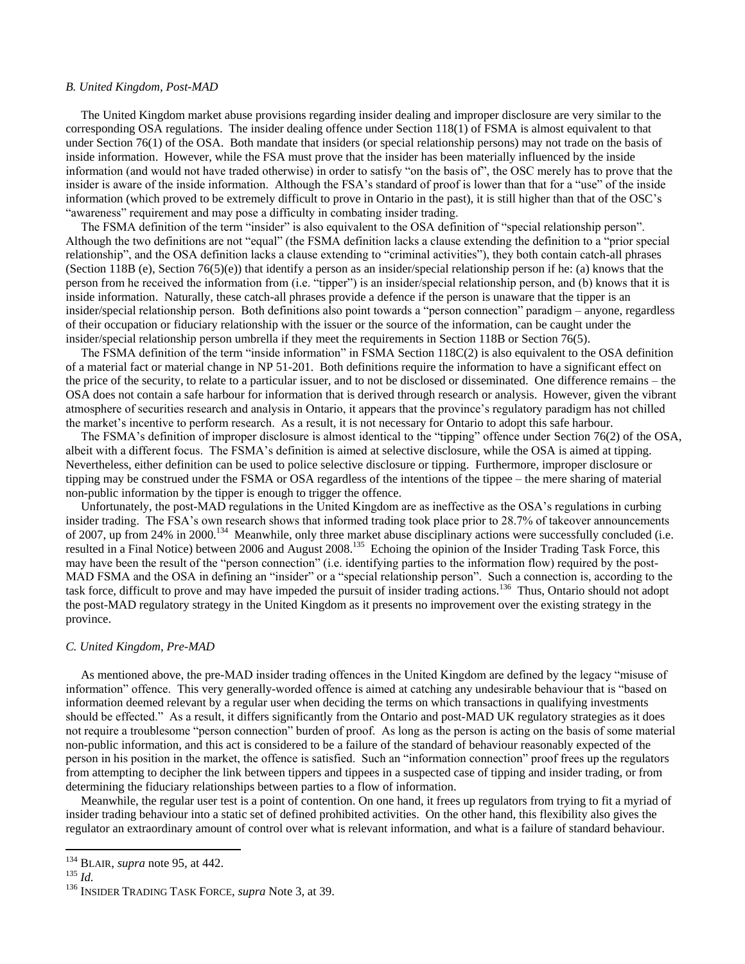### *B. United Kingdom, Post-MAD*

 The United Kingdom market abuse provisions regarding insider dealing and improper disclosure are very similar to the corresponding OSA regulations. The insider dealing offence under Section 118(1) of FSMA is almost equivalent to that under Section 76(1) of the OSA. Both mandate that insiders (or special relationship persons) may not trade on the basis of inside information. However, while the FSA must prove that the insider has been materially influenced by the inside information (and would not have traded otherwise) in order to satisfy "on the basis of", the OSC merely has to prove that the insider is aware of the inside information. Although the FSA's standard of proof is lower than that for a "use" of the inside information (which proved to be extremely difficult to prove in Ontario in the past), it is still higher than that of the OSC's "awareness" requirement and may pose a difficulty in combating insider trading.

The FSMA definition of the term "insider" is also equivalent to the OSA definition of "special relationship person". Although the two definitions are not "equal" (the FSMA definition lacks a clause extending the definition to a "prior special relationship", and the OSA definition lacks a clause extending to "criminal activities"), they both contain catch-all phrases (Section 118B (e), Section 76(5)(e)) that identify a person as an insider/special relationship person if he: (a) knows that the person from he received the information from (i.e. "tipper") is an insider/special relationship person, and (b) knows that it is inside information. Naturally, these catch-all phrases provide a defence if the person is unaware that the tipper is an insider/special relationship person. Both definitions also point towards a "person connection" paradigm – anyone, regardless of their occupation or fiduciary relationship with the issuer or the source of the information, can be caught under the insider/special relationship person umbrella if they meet the requirements in Section 118B or Section 76(5).

The FSMA definition of the term "inside information" in FSMA Section  $118C(2)$  is also equivalent to the OSA definition of a material fact or material change in NP 51-201. Both definitions require the information to have a significant effect on the price of the security, to relate to a particular issuer, and to not be disclosed or disseminated. One difference remains – the OSA does not contain a safe harbour for information that is derived through research or analysis. However, given the vibrant atmosphere of securities research and analysis in Ontario, it appears that the province's regulatory paradigm has not chilled the market's incentive to perform research. As a result, it is not necessary for Ontario to adopt this safe harbour.

The FSMA's definition of improper disclosure is almost identical to the "tipping" offence under Section 76(2) of the OSA, albeit with a different focus. The FSMA's definition is aimed at selective disclosure, while the OSA is aimed at tipping. Nevertheless, either definition can be used to police selective disclosure or tipping. Furthermore, improper disclosure or tipping may be construed under the FSMA or OSA regardless of the intentions of the tippee – the mere sharing of material non-public information by the tipper is enough to trigger the offence.

 Unfortunately, the post-MAD regulations in the United Kingdom are as ineffective as the OSA's regulations in curbing insider trading. The FSA's own research shows that informed trading took place prior to 28.7% of takeover announcements of 2007, up from 24% in 2000.<sup>134</sup> Meanwhile, only three market abuse disciplinary actions were successfully concluded (i.e. resulted in a Final Notice) between 2006 and August 2008.<sup>135</sup> Echoing the opinion of the Insider Trading Task Force, this may have been the result of the "person connection" (i.e. identifying parties to the information flow) required by the post-MAD FSMA and the OSA in defining an "insider" or a "special relationship person". Such a connection is, according to the task force, difficult to prove and may have impeded the pursuit of insider trading actions.<sup>136</sup> Thus, Ontario should not adopt the post-MAD regulatory strategy in the United Kingdom as it presents no improvement over the existing strategy in the province.

### *C. United Kingdom, Pre-MAD*

As mentioned above, the pre-MAD insider trading offences in the United Kingdom are defined by the legacy "misuse of information" offence. This very generally-worded offence is aimed at catching any undesirable behaviour that is "based on information deemed relevant by a regular user when deciding the terms on which transactions in qualifying investments should be effected." As a result, it differs significantly from the Ontario and post-MAD UK regulatory strategies as it does not require a troublesome "person connection" burden of proof. As long as the person is acting on the basis of some material non-public information, and this act is considered to be a failure of the standard of behaviour reasonably expected of the person in his position in the market, the offence is satisfied. Such an "information connection" proof frees up the regulators from attempting to decipher the link between tippers and tippees in a suspected case of tipping and insider trading, or from determining the fiduciary relationships between parties to a flow of information.

 Meanwhile, the regular user test is a point of contention. On one hand, it frees up regulators from trying to fit a myriad of insider trading behaviour into a static set of defined prohibited activities. On the other hand, this flexibility also gives the regulator an extraordinary amount of control over what is relevant information, and what is a failure of standard behaviour.

<sup>134</sup> BLAIR, *supra* note 95, at 442.

<sup>135</sup> *Id.*

<sup>136</sup> INSIDER TRADING TASK FORCE, *supra* Note 3, at 39.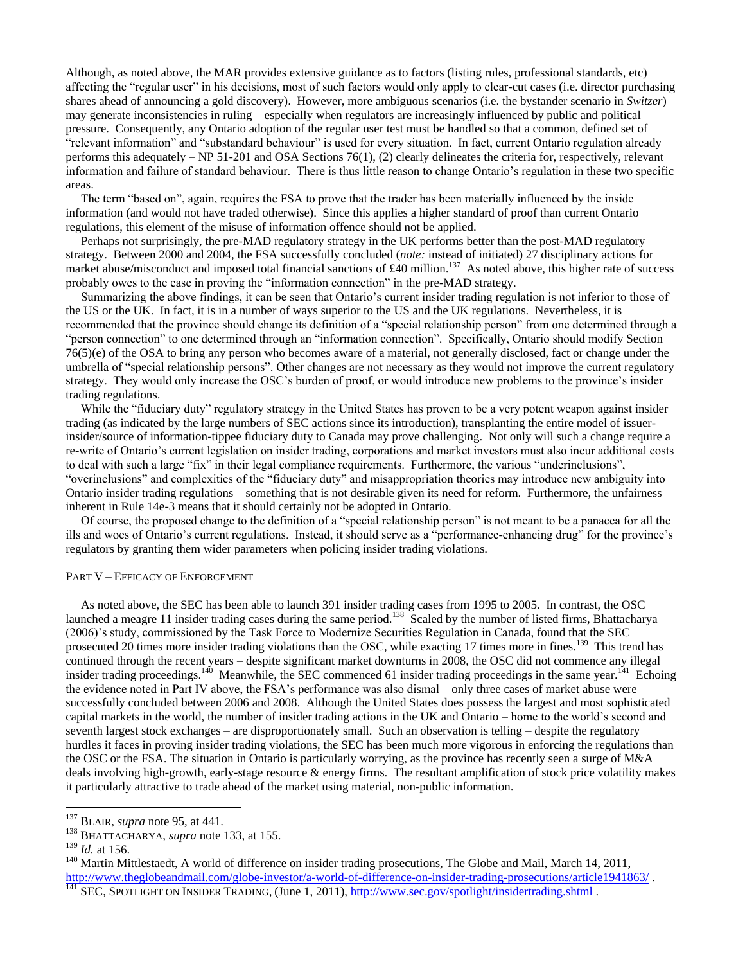Although, as noted above, the MAR provides extensive guidance as to factors (listing rules, professional standards, etc) affecting the "regular user" in his decisions, most of such factors would only apply to clear-cut cases (i.e. director purchasing shares ahead of announcing a gold discovery). However, more ambiguous scenarios (i.e. the bystander scenario in *Switzer*) may generate inconsistencies in ruling – especially when regulators are increasingly influenced by public and political pressure. Consequently, any Ontario adoption of the regular user test must be handled so that a common, defined set of ―relevant information‖ and ―substandard behaviour‖ is used for every situation. In fact, current Ontario regulation already performs this adequately – NP 51-201 and OSA Sections 76(1), (2) clearly delineates the criteria for, respectively, relevant information and failure of standard behaviour. There is thus little reason to change Ontario's regulation in these two specific areas.

The term "based on", again, requires the FSA to prove that the trader has been materially influenced by the inside information (and would not have traded otherwise). Since this applies a higher standard of proof than current Ontario regulations, this element of the misuse of information offence should not be applied.

 Perhaps not surprisingly, the pre-MAD regulatory strategy in the UK performs better than the post-MAD regulatory strategy. Between 2000 and 2004, the FSA successfully concluded (*note:* instead of initiated) 27 disciplinary actions for market abuse/misconduct and imposed total financial sanctions of £40 million.<sup>137</sup> As noted above, this higher rate of success probably owes to the ease in proving the "information connection" in the pre-MAD strategy.

 Summarizing the above findings, it can be seen that Ontario's current insider trading regulation is not inferior to those of the US or the UK. In fact, it is in a number of ways superior to the US and the UK regulations. Nevertheless, it is recommended that the province should change its definition of a "special relationship person" from one determined through a "person connection" to one determined through an "information connection". Specifically, Ontario should modify Section 76(5)(e) of the OSA to bring any person who becomes aware of a material, not generally disclosed, fact or change under the umbrella of "special relationship persons". Other changes are not necessary as they would not improve the current regulatory strategy. They would only increase the OSC's burden of proof, or would introduce new problems to the province's insider trading regulations.

While the "fiduciary duty" regulatory strategy in the United States has proven to be a very potent weapon against insider trading (as indicated by the large numbers of SEC actions since its introduction), transplanting the entire model of issuerinsider/source of information-tippee fiduciary duty to Canada may prove challenging. Not only will such a change require a re-write of Ontario's current legislation on insider trading, corporations and market investors must also incur additional costs to deal with such a large "fix" in their legal compliance requirements. Furthermore, the various "underinclusions", ―overinclusions‖ and complexities of the ―fiduciary duty‖ and misappropriation theories may introduce new ambiguity into Ontario insider trading regulations – something that is not desirable given its need for reform. Furthermore, the unfairness inherent in Rule 14e-3 means that it should certainly not be adopted in Ontario.

Of course, the proposed change to the definition of a "special relationship person" is not meant to be a panacea for all the ills and woes of Ontario's current regulations. Instead, it should serve as a "performance-enhancing drug" for the province's regulators by granting them wider parameters when policing insider trading violations.

# PART V – EFFICACY OF ENFORCEMENT

 As noted above, the SEC has been able to launch 391 insider trading cases from 1995 to 2005. In contrast, the OSC launched a meagre 11 insider trading cases during the same period.<sup>138</sup> Scaled by the number of listed firms, Bhattacharya (2006)'s study, commissioned by the Task Force to Modernize Securities Regulation in Canada, found that the SEC prosecuted 20 times more insider trading violations than the OSC, while exacting 17 times more in fines.<sup>139</sup> This trend has continued through the recent years – despite significant market downturns in 2008, the OSC did not commence any illegal insider trading proceedings.<sup>140</sup> Meanwhile, the SEC commenced 61 insider trading proceedings in the same year.<sup>141</sup> Echoing the evidence noted in Part IV above, the FSA's performance was also dismal – only three cases of market abuse were successfully concluded between 2006 and 2008. Although the United States does possess the largest and most sophisticated capital markets in the world, the number of insider trading actions in the UK and Ontario – home to the world's second and seventh largest stock exchanges – are disproportionately small. Such an observation is telling – despite the regulatory hurdles it faces in proving insider trading violations, the SEC has been much more vigorous in enforcing the regulations than the OSC or the FSA. The situation in Ontario is particularly worrying, as the province has recently seen a surge of M&A deals involving high-growth, early-stage resource  $\&$  energy firms. The resultant amplification of stock price volatility makes it particularly attractive to trade ahead of the market using material, non-public information.

<sup>137</sup> BLAIR, *supra* note 95, at 441.

<sup>138</sup> BHATTACHARYA, *supra* note 133, at 155.

<sup>139</sup> *Id.* at 156.

<sup>&</sup>lt;sup>140</sup> Martin Mittlestaedt, A world of difference on insider trading prosecutions, The Globe and Mail, March 14, 2011, <http://www.theglobeandmail.com/globe-investor/a-world-of-difference-on-insider-trading-prosecutions/article1941863/> .

<sup>&</sup>lt;sup>141</sup> SEC, SPOTLIGHT ON INSIDER TRADING, (June 1, 2011),<http://www.sec.gov/spotlight/insidertrading.shtml>.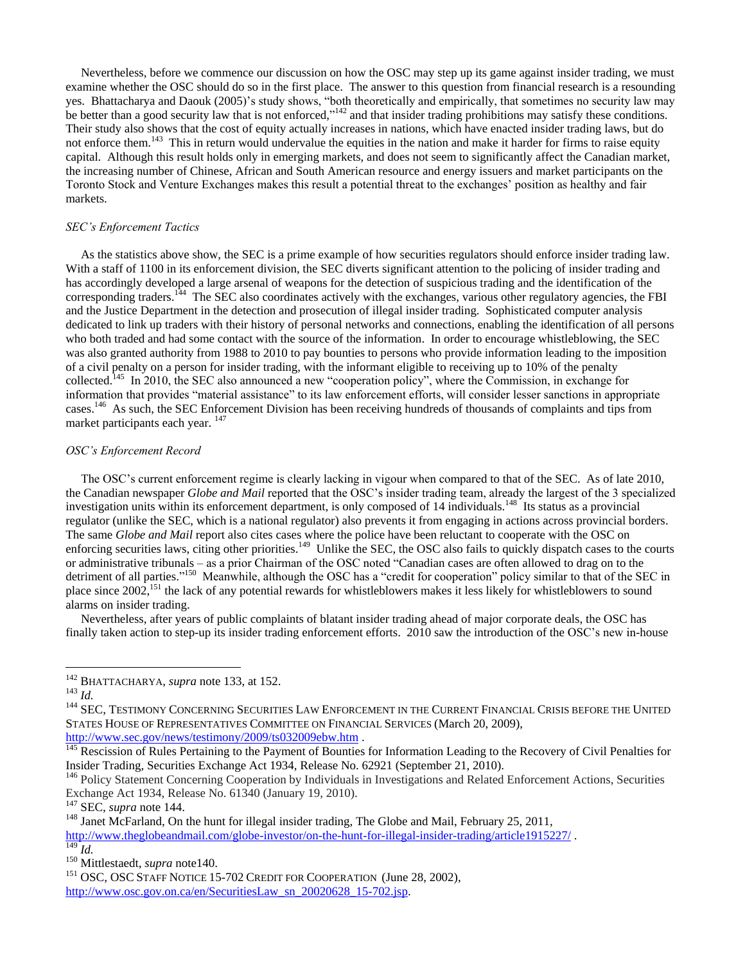Nevertheless, before we commence our discussion on how the OSC may step up its game against insider trading, we must examine whether the OSC should do so in the first place. The answer to this question from financial research is a resounding yes. Bhattacharya and Daouk (2005)'s study shows, "both theoretically and empirically, that sometimes no security law may be better than a good security law that is not enforced,"<sup>142</sup> and that insider trading prohibitions may satisfy these conditions. Their study also shows that the cost of equity actually increases in nations, which have enacted insider trading laws, but do not enforce them.<sup>143</sup> This in return would undervalue the equities in the nation and make it harder for firms to raise equity capital. Although this result holds only in emerging markets, and does not seem to significantly affect the Canadian market, the increasing number of Chinese, African and South American resource and energy issuers and market participants on the Toronto Stock and Venture Exchanges makes this result a potential threat to the exchanges' position as healthy and fair markets.

# *SEC's Enforcement Tactics*

 As the statistics above show, the SEC is a prime example of how securities regulators should enforce insider trading law. With a staff of 1100 in its enforcement division, the SEC diverts significant attention to the policing of insider trading and has accordingly developed a large arsenal of weapons for the detection of suspicious trading and the identification of the corresponding traders.<sup>144</sup> The SEC also coordinates actively with the exchanges, various other regulatory agencies, the FBI and the Justice Department in the detection and prosecution of illegal insider trading. Sophisticated computer analysis dedicated to link up traders with their history of personal networks and connections, enabling the identification of all persons who both traded and had some contact with the source of the information. In order to encourage whistleblowing, the SEC was also granted authority from 1988 to 2010 to pay bounties to persons who provide information leading to the imposition of a civil penalty on a person for insider trading, with the informant eligible to receiving up to 10% of the penalty collected.<sup>145</sup> In 2010, the SEC also announced a new "cooperation policy", where the Commission, in exchange for information that provides "material assistance" to its law enforcement efforts, will consider lesser sanctions in appropriate cases.<sup>146</sup> As such, the SEC Enforcement Division has been receiving hundreds of thousands of complaints and tips from market participants each year. <sup>147</sup>

# *OSC's Enforcement Record*

 The OSC's current enforcement regime is clearly lacking in vigour when compared to that of the SEC. As of late 2010, the Canadian newspaper *Globe and Mail* reported that the OSC's insider trading team, already the largest of the 3 specialized investigation units within its enforcement department, is only composed of 14 individuals.<sup>148</sup> Its status as a provincial regulator (unlike the SEC, which is a national regulator) also prevents it from engaging in actions across provincial borders. The same *Globe and Mail* report also cites cases where the police have been reluctant to cooperate with the OSC on enforcing securities laws, citing other priorities.<sup>149</sup> Unlike the SEC, the OSC also fails to quickly dispatch cases to the courts or administrative tribunals – as a prior Chairman of the OSC noted "Canadian cases are often allowed to drag on to the detriment of all parties."<sup>150</sup> Meanwhile, although the OSC has a "credit for cooperation" policy similar to that of the SEC in place since 2002,<sup>151</sup> the lack of any potential rewards for whistleblowers makes it less likely for whistleblowers to sound alarms on insider trading.

 Nevertheless, after years of public complaints of blatant insider trading ahead of major corporate deals, the OSC has finally taken action to step-up its insider trading enforcement efforts. 2010 saw the introduction of the OSC's new in-house

 $\overline{a}$ 

<sup>147</sup> SEC*, supra* note 144.

<sup>142</sup> BHATTACHARYA, *supra* note 133, at 152.

<sup>143</sup> *Id.*

<sup>&</sup>lt;sup>144</sup> SEC, TESTIMONY CONCERNING SECURITIES LAW ENFORCEMENT IN THE CURRENT FINANCIAL CRISIS BEFORE THE UNITED STATES HOUSE OF REPRESENTATIVES COMMITTEE ON FINANCIAL SERVICES (March 20, 2009), <http://www.sec.gov/news/testimony/2009/ts032009ebw.htm> .

<sup>&</sup>lt;sup>145</sup> Rescission of Rules Pertaining to the Payment of Bounties for Information Leading to the Recovery of Civil Penalties for Insider Trading, Securities Exchange Act 1934, Release No. 62921 (September 21, 2010).

<sup>&</sup>lt;sup>146</sup> Policy Statement Concerning Cooperation by Individuals in Investigations and Related Enforcement Actions, Securities Exchange Act 1934, Release No. 61340 (January 19, 2010).

<sup>&</sup>lt;sup>148</sup> Janet McFarland, On the hunt for illegal insider trading, The Globe and Mail, February 25, 2011, <http://www.theglobeandmail.com/globe-investor/on-the-hunt-for-illegal-insider-trading/article1915227/>.  $\overline{^{149}}$ *Id.* 

<sup>150</sup> Mittlestaedt, *supra* note140.

<sup>&</sup>lt;sup>151</sup> OSC, OSC STAFF NOTICE 15-702 CREDIT FOR COOPERATION (June 28, 2002), [http://www.osc.gov.on.ca/en/SecuritiesLaw\\_sn\\_20020628\\_15-702.jsp.](http://www.osc.gov.on.ca/en/SecuritiesLaw_sn_20020628_15-702.jsp)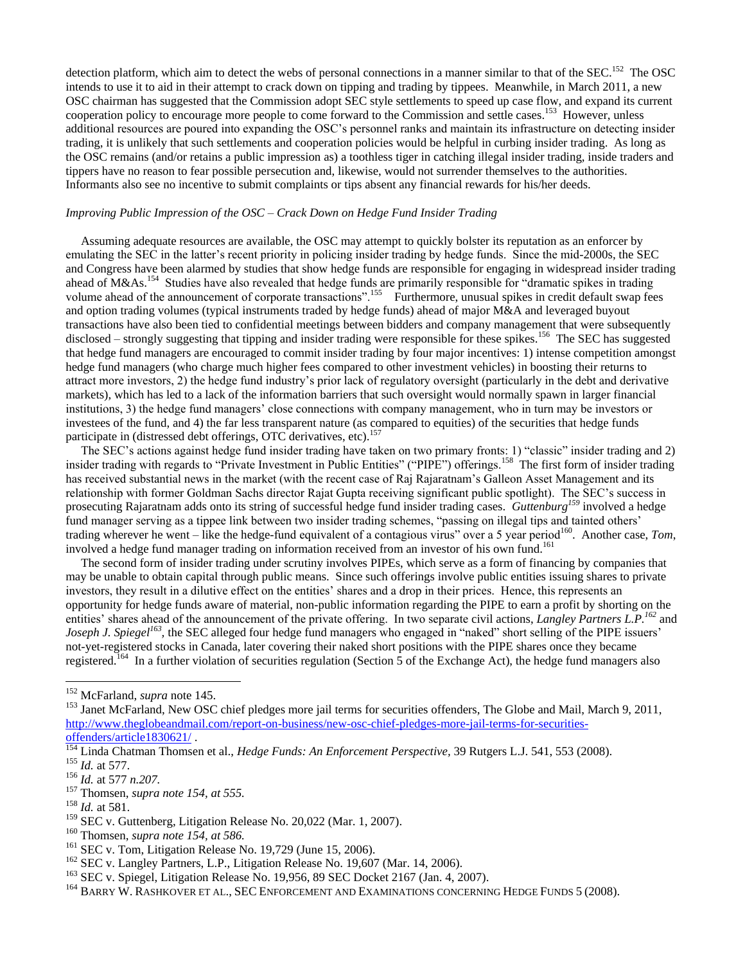detection platform, which aim to detect the webs of personal connections in a manner similar to that of the SEC.<sup>152</sup> The OSC intends to use it to aid in their attempt to crack down on tipping and trading by tippees. Meanwhile, in March 2011, a new OSC chairman has suggested that the Commission adopt SEC style settlements to speed up case flow, and expand its current cooperation policy to encourage more people to come forward to the Commission and settle cases.<sup>153</sup> However, unless additional resources are poured into expanding the OSC's personnel ranks and maintain its infrastructure on detecting insider trading, it is unlikely that such settlements and cooperation policies would be helpful in curbing insider trading. As long as the OSC remains (and/or retains a public impression as) a toothless tiger in catching illegal insider trading, inside traders and tippers have no reason to fear possible persecution and, likewise, would not surrender themselves to the authorities. Informants also see no incentive to submit complaints or tips absent any financial rewards for his/her deeds.

# *Improving Public Impression of the OSC – Crack Down on Hedge Fund Insider Trading*

 Assuming adequate resources are available, the OSC may attempt to quickly bolster its reputation as an enforcer by emulating the SEC in the latter's recent priority in policing insider trading by hedge funds. Since the mid-2000s, the SEC and Congress have been alarmed by studies that show hedge funds are responsible for engaging in widespread insider trading ahead of M&As.<sup>154</sup> Studies have also revealed that hedge funds are primarily responsible for "dramatic spikes in trading volume ahead of the announcement of corporate transactions".<sup>155</sup> Furthermore, unusual spikes in credit default swap fees and option trading volumes (typical instruments traded by hedge funds) ahead of major M&A and leveraged buyout transactions have also been tied to confidential meetings between bidders and company management that were subsequently disclosed – strongly suggesting that tipping and insider trading were responsible for these spikes.<sup>156</sup> The SEC has suggested that hedge fund managers are encouraged to commit insider trading by four major incentives: 1) intense competition amongst hedge fund managers (who charge much higher fees compared to other investment vehicles) in boosting their returns to attract more investors, 2) the hedge fund industry's prior lack of regulatory oversight (particularly in the debt and derivative markets), which has led to a lack of the information barriers that such oversight would normally spawn in larger financial institutions, 3) the hedge fund managers' close connections with company management, who in turn may be investors or investees of the fund, and 4) the far less transparent nature (as compared to equities) of the securities that hedge funds participate in (distressed debt offerings, OTC derivatives, etc).<sup>157</sup>

The SEC's actions against hedge fund insider trading have taken on two primary fronts: 1) "classic" insider trading and 2) insider trading with regards to "Private Investment in Public Entities" ("PIPE") offerings.<sup>158</sup> The first form of insider trading has received substantial news in the market (with the recent case of Raj Rajaratnam's Galleon Asset Management and its relationship with former Goldman Sachs director Rajat Gupta receiving significant public spotlight). The SEC's success in prosecuting Rajaratnam adds onto its string of successful hedge fund insider trading cases. *Guttenburg<sup>159</sup>* involved a hedge fund manager serving as a tippee link between two insider trading schemes, "passing on illegal tips and tainted others' trading wherever he went – like the hedge-fund equivalent of a contagious virus" over a 5 year period<sup>160</sup>. Another case, *Tom*, involved a hedge fund manager trading on information received from an investor of his own fund.<sup>161</sup>

 The second form of insider trading under scrutiny involves PIPEs, which serve as a form of financing by companies that may be unable to obtain capital through public means. Since such offerings involve public entities issuing shares to private investors, they result in a dilutive effect on the entities' shares and a drop in their prices. Hence, this represents an opportunity for hedge funds aware of material, non-public information regarding the PIPE to earn a profit by shorting on the entities' shares ahead of the announcement of the private offering. In two separate civil actions, *Langley Partners L.P.<sup>162</sup>* and *Joseph J. Spiegel<sup>163</sup>*, the SEC alleged four hedge fund managers who engaged in "naked" short selling of the PIPE issuers' not-yet-registered stocks in Canada, later covering their naked short positions with the PIPE shares once they became registered.<sup>164</sup> In a further violation of securities regulation (Section 5 of the Exchange Act), the hedge fund managers also

<sup>152</sup> McFarland, *supra* note 145.

<sup>&</sup>lt;sup>153</sup> Janet McFarland, New OSC chief pledges more jail terms for securities offenders, The Globe and Mail, March 9, 2011, [http://www.theglobeandmail.com/report-on-business/new-osc-chief-pledges-more-jail-terms-for-securities](http://www.theglobeandmail.com/report-on-business/new-osc-chief-pledges-more-jail-terms-for-securities-offenders/article1830621/)[offenders/article1830621/](http://www.theglobeandmail.com/report-on-business/new-osc-chief-pledges-more-jail-terms-for-securities-offenders/article1830621/) .

<sup>154</sup> Linda Chatman Thomsen et al., *Hedge Funds: An Enforcement Perspective,* 39 Rutgers L.J. 541, 553 (2008). <sup>155</sup> *Id.* at 577.

<sup>156</sup> *Id.* at 577 *n.207.*

<sup>157</sup> Thomsen, *supra note 154, at 555.*

<sup>158</sup> *Id.* at 581.

<sup>&</sup>lt;sup>159</sup> SEC v. Guttenberg, Litigation Release No. 20,022 (Mar. 1, 2007).

<sup>160</sup> Thomsen, *supra note 154, at 586.*

<sup>&</sup>lt;sup>161</sup> SEC v. Tom, Litigation Release No. 19,729 (June 15, 2006).

<sup>&</sup>lt;sup>162</sup> SEC v. Langley Partners, L.P., Litigation Release No. 19,607 (Mar. 14, 2006).

<sup>163</sup> SEC v. Spiegel, Litigation Release No. 19,956, 89 SEC Docket 2167 (Jan. 4, 2007).

<sup>&</sup>lt;sup>164</sup> BARRY W. RASHKOVER ET AL., SEC ENFORCEMENT AND EXAMINATIONS CONCERNING HEDGE FUNDS 5 (2008).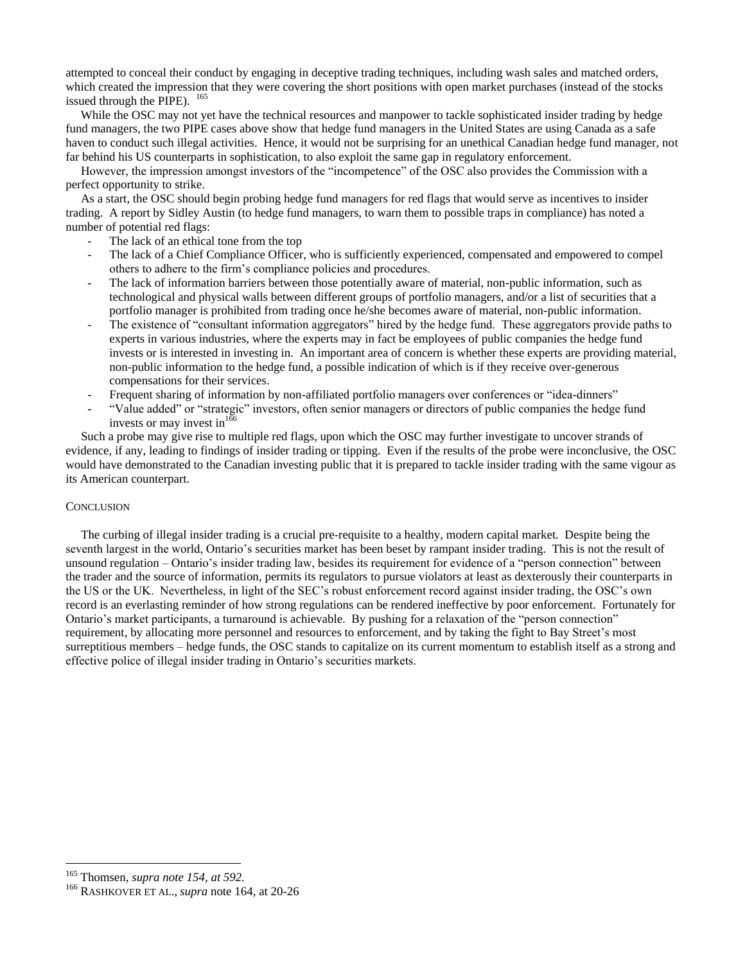attempted to conceal their conduct by engaging in deceptive trading techniques, including wash sales and matched orders, which created the impression that they were covering the short positions with open market purchases (instead of the stocks issued through the PIPE).  $^{165}$ 

While the OSC may not yet have the technical resources and manpower to tackle sophisticated insider trading by hedge fund managers, the two PIPE cases above show that hedge fund managers in the United States are using Canada as a safe haven to conduct such illegal activities. Hence, it would not be surprising for an unethical Canadian hedge fund manager, not far behind his US counterparts in sophistication, to also exploit the same gap in regulatory enforcement.

However, the impression amongst investors of the "incompetence" of the OSC also provides the Commission with a perfect opportunity to strike.

 As a start, the OSC should begin probing hedge fund managers for red flags that would serve as incentives to insider trading. A report by Sidley Austin (to hedge fund managers, to warn them to possible traps in compliance) has noted a number of potential red flags:

- The lack of an ethical tone from the top
- The lack of a Chief Compliance Officer, who is sufficiently experienced, compensated and empowered to compel others to adhere to the firm's compliance policies and procedures.
- The lack of information barriers between those potentially aware of material, non-public information, such as technological and physical walls between different groups of portfolio managers, and/or a list of securities that a portfolio manager is prohibited from trading once he/she becomes aware of material, non-public information.
- The existence of "consultant information aggregators" hired by the hedge fund. These aggregators provide paths to experts in various industries, where the experts may in fact be employees of public companies the hedge fund invests or is interested in investing in. An important area of concern is whether these experts are providing material, non-public information to the hedge fund, a possible indication of which is if they receive over-generous compensations for their services.
- Frequent sharing of information by non-affiliated portfolio managers over conferences or "idea-dinners"
- "Value added" or "strategic" investors, often senior managers or directors of public companies the hedge fund invests or may invest in  $166$

 Such a probe may give rise to multiple red flags, upon which the OSC may further investigate to uncover strands of evidence, if any, leading to findings of insider trading or tipping. Even if the results of the probe were inconclusive, the OSC would have demonstrated to the Canadian investing public that it is prepared to tackle insider trading with the same vigour as its American counterpart.

#### **CONCLUSION**

 The curbing of illegal insider trading is a crucial pre-requisite to a healthy, modern capital market. Despite being the seventh largest in the world, Ontario's securities market has been beset by rampant insider trading. This is not the result of unsound regulation – Ontario's insider trading law, besides its requirement for evidence of a "person connection" between the trader and the source of information, permits its regulators to pursue violators at least as dexterously their counterparts in the US or the UK. Nevertheless, in light of the SEC's robust enforcement record against insider trading, the OSC's own record is an everlasting reminder of how strong regulations can be rendered ineffective by poor enforcement. Fortunately for Ontario's market participants, a turnaround is achievable. By pushing for a relaxation of the "person connection" requirement, by allocating more personnel and resources to enforcement, and by taking the fight to Bay Street's most surreptitious members – hedge funds, the OSC stands to capitalize on its current momentum to establish itself as a strong and effective police of illegal insider trading in Ontario's securities markets.

<sup>165</sup> Thomsen, *supra note 154, at 592.* 

<sup>166</sup> RASHKOVER ET AL., *supra* note 164, at 20-26